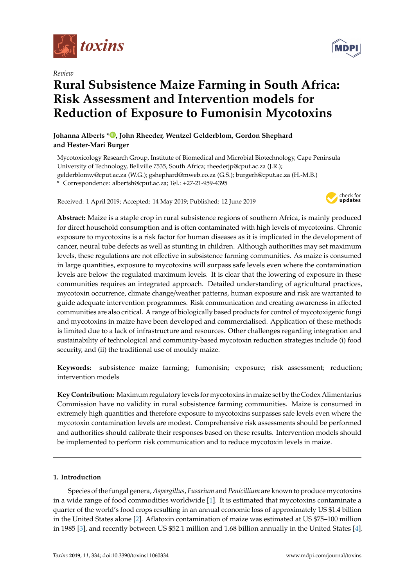

*Review*

# **Rural Subsistence Maize Farming in South Africa: Risk Assessment and Intervention models for Reduction of Exposure to Fumonisin Mycotoxins**

# **Johanna Alberts [\\*](https://orcid.org/0000-0002-3290-9847) , John Rheeder, Wentzel Gelderblom, Gordon Shephard and Hester-Mari Burger**

Mycotoxicology Research Group, Institute of Biomedical and Microbial Biotechnology, Cape Peninsula University of Technology, Bellville 7535, South Africa; rheederjp@cput.ac.za (J.R.); gelderblomw@cput.ac.za (W.G.); gshephard@mweb.co.za (G.S.); burgerh@cput.ac.za (H.-M.B.) **\*** Correspondence: albertsh@cput.ac.za; Tel.: +27-21-959-4395

Received: 1 April 2019; Accepted: 14 May 2019; Published: 12 June 2019



**Abstract:** Maize is a staple crop in rural subsistence regions of southern Africa, is mainly produced for direct household consumption and is often contaminated with high levels of mycotoxins. Chronic exposure to mycotoxins is a risk factor for human diseases as it is implicated in the development of cancer, neural tube defects as well as stunting in children. Although authorities may set maximum levels, these regulations are not effective in subsistence farming communities. As maize is consumed in large quantities, exposure to mycotoxins will surpass safe levels even where the contamination levels are below the regulated maximum levels. It is clear that the lowering of exposure in these communities requires an integrated approach. Detailed understanding of agricultural practices, mycotoxin occurrence, climate change/weather patterns, human exposure and risk are warranted to guide adequate intervention programmes. Risk communication and creating awareness in affected communities are also critical. A range of biologically based products for control of mycotoxigenic fungi and mycotoxins in maize have been developed and commercialised. Application of these methods is limited due to a lack of infrastructure and resources. Other challenges regarding integration and sustainability of technological and community-based mycotoxin reduction strategies include (i) food security, and (ii) the traditional use of mouldy maize.

**Keywords:** subsistence maize farming; fumonisin; exposure; risk assessment; reduction; intervention models

**Key Contribution:** Maximum regulatory levels for mycotoxins in maize set by the Codex Alimentarius Commission have no validity in rural subsistence farming communities. Maize is consumed in extremely high quantities and therefore exposure to mycotoxins surpasses safe levels even where the mycotoxin contamination levels are modest. Comprehensive risk assessments should be performed and authorities should calibrate their responses based on these results. Intervention models should be implemented to perform risk communication and to reduce mycotoxin levels in maize.

# **1. Introduction**

Species of the fungal genera, *Aspergillus*, *Fusarium* and *Penicillium* are known to produce mycotoxins in a wide range of food commodities worldwide [\[1\]](#page-12-0). It is estimated that mycotoxins contaminate a quarter of the world's food crops resulting in an annual economic loss of approximately US \$1.4 billion in the United States alone [\[2\]](#page-12-1). Aflatoxin contamination of maize was estimated at US \$75–100 million in 1985 [\[3\]](#page-12-2), and recently between US \$52.1 million and 1.68 billion annually in the United States [\[4\]](#page-12-3).

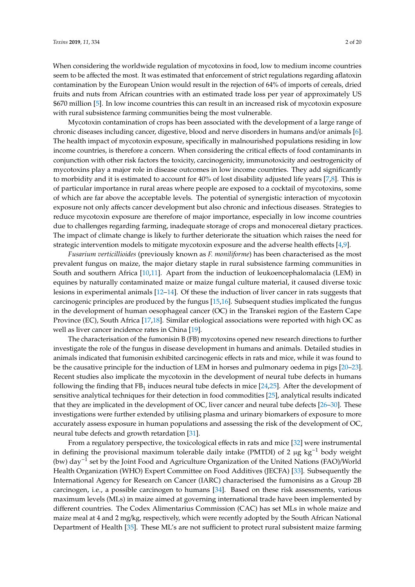When considering the worldwide regulation of mycotoxins in food, low to medium income countries seem to be affected the most. It was estimated that enforcement of strict regulations regarding aflatoxin contamination by the European Union would result in the rejection of 64% of imports of cereals, dried fruits and nuts from African countries with an estimated trade loss per year of approximately US \$670 million [\[5\]](#page-12-4). In low income countries this can result in an increased risk of mycotoxin exposure with rural subsistence farming communities being the most vulnerable.

Mycotoxin contamination of crops has been associated with the development of a large range of chronic diseases including cancer, digestive, blood and nerve disorders in humans and/or animals [\[6\]](#page-12-5). The health impact of mycotoxin exposure, specifically in malnourished populations residing in low income countries, is therefore a concern. When considering the critical effects of food contaminants in conjunction with other risk factors the toxicity, carcinogenicity, immunotoxicity and oestrogenicity of mycotoxins play a major role in disease outcomes in low income countries. They add significantly to morbidity and it is estimated to account for 40% of lost disability adjusted life years [\[7,](#page-13-0)[8\]](#page-13-1). This is of particular importance in rural areas where people are exposed to a cocktail of mycotoxins, some of which are far above the acceptable levels. The potential of synergistic interaction of mycotoxin exposure not only affects cancer development but also chronic and infectious diseases. Strategies to reduce mycotoxin exposure are therefore of major importance, especially in low income countries due to challenges regarding farming, inadequate storage of crops and monocereal dietary practices. The impact of climate change is likely to further deteriorate the situation which raises the need for strategic intervention models to mitigate mycotoxin exposure and the adverse health effects [\[4](#page-12-3)[,9\]](#page-13-2).

*Fusarium verticillioides* (previously known as *F. moniliforme*) has been characterised as the most prevalent fungus on maize, the major dietary staple in rural subsistence farming communities in South and southern Africa [\[10,](#page-13-3)[11\]](#page-13-4). Apart from the induction of leukoencephalomalacia (LEM) in equines by naturally contaminated maize or maize fungal culture material, it caused diverse toxic lesions in experimental animals [\[12–](#page-13-5)[14\]](#page-13-6). Of these the induction of liver cancer in rats suggests that carcinogenic principles are produced by the fungus [\[15,](#page-13-7)[16\]](#page-13-8). Subsequent studies implicated the fungus in the development of human oesophageal cancer (OC) in the Transkei region of the Eastern Cape Province (EC), South Africa [\[17,](#page-13-9)[18\]](#page-13-10). Similar etiological associations were reported with high OC as well as liver cancer incidence rates in China [\[19\]](#page-13-11).

The characterisation of the fumonisin B (FB) mycotoxins opened new research directions to further investigate the role of the fungus in disease development in humans and animals. Detailed studies in animals indicated that fumonisin exhibited carcinogenic effects in rats and mice, while it was found to be the causative principle for the induction of LEM in horses and pulmonary oedema in pigs [\[20–](#page-13-12)[23\]](#page-13-13). Recent studies also implicate the mycotoxin in the development of neural tube defects in humans following the finding that  $FB_1$  induces neural tube defects in mice [\[24](#page-13-14)[,25\]](#page-13-15). After the development of sensitive analytical techniques for their detection in food commodities [\[25\]](#page-13-15), analytical results indicated that they are implicated in the development of OC, liver cancer and neural tube defects [\[26](#page-13-16)[–30\]](#page-14-0). These investigations were further extended by utilising plasma and urinary biomarkers of exposure to more accurately assess exposure in human populations and assessing the risk of the development of OC, neural tube defects and growth retardation [\[31\]](#page-14-1).

From a regulatory perspective, the toxicological effects in rats and mice [\[32\]](#page-14-2) were instrumental in defining the provisional maximum tolerable daily intake (PMTDI) of 2 µg kg<sup>-1</sup> body weight (bw) day−<sup>1</sup> set by the Joint Food and Agriculture Organization of the United Nations (FAO)/World Health Organization (WHO) Expert Committee on Food Additives (JECFA) [\[33\]](#page-14-3). Subsequently the International Agency for Research on Cancer (IARC) characterised the fumonisins as a Group 2B carcinogen, i.e., a possible carcinogen to humans [\[34\]](#page-14-4). Based on these risk assessments, various maximum levels (MLs) in maize aimed at governing international trade have been implemented by different countries. The Codex Alimentarius Commission (CAC) has set MLs in whole maize and maize meal at 4 and 2 mg/kg, respectively, which were recently adopted by the South African National Department of Health [\[35\]](#page-14-5). These ML's are not sufficient to protect rural subsistent maize farming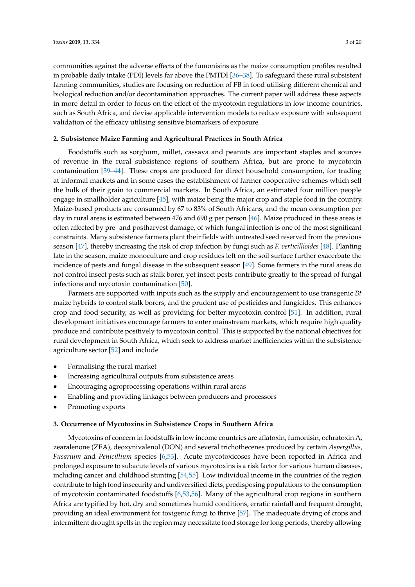communities against the adverse effects of the fumonisins as the maize consumption profiles resulted in probable daily intake (PDI) levels far above the PMTDI [\[36](#page-14-6)[–38\]](#page-14-7). To safeguard these rural subsistent farming communities, studies are focusing on reduction of FB in food utilising different chemical and biological reduction and/or decontamination approaches. The current paper will address these aspects in more detail in order to focus on the effect of the mycotoxin regulations in low income countries, such as South Africa, and devise applicable intervention models to reduce exposure with subsequent validation of the efficacy utilising sensitive biomarkers of exposure.

# **2. Subsistence Maize Farming and Agricultural Practices in South Africa**

Foodstuffs such as sorghum, millet, cassava and peanuts are important staples and sources of revenue in the rural subsistence regions of southern Africa, but are prone to mycotoxin contamination [\[39](#page-14-8)[–44\]](#page-14-9). These crops are produced for direct household consumption, for trading at informal markets and in some cases the establishment of farmer cooperative schemes which sell the bulk of their grain to commercial markets. In South Africa, an estimated four million people engage in smallholder agriculture [\[45\]](#page-14-10), with maize being the major crop and staple food in the country. Maize-based products are consumed by 67 to 83% of South Africans, and the mean consumption per day in rural areas is estimated between 476 and 690 g per person [\[46\]](#page-14-11). Maize produced in these areas is often affected by pre- and postharvest damage, of which fungal infection is one of the most significant constraints. Many subsistence farmers plant their fields with untreated seed reserved from the previous season [\[47\]](#page-14-12), thereby increasing the risk of crop infection by fungi such as *F. verticillioides* [\[48\]](#page-14-13). Planting late in the season, maize monoculture and crop residues left on the soil surface further exacerbate the incidence of pests and fungal disease in the subsequent season [\[49\]](#page-15-0). Some farmers in the rural areas do not control insect pests such as stalk borer, yet insect pests contribute greatly to the spread of fungal infections and mycotoxin contamination [\[50\]](#page-15-1).

Farmers are supported with inputs such as the supply and encouragement to use transgenic *Bt* maize hybrids to control stalk borers, and the prudent use of pesticides and fungicides. This enhances crop and food security, as well as providing for better mycotoxin control [\[51\]](#page-15-2). In addition, rural development initiatives encourage farmers to enter mainstream markets, which require high quality produce and contribute positively to mycotoxin control. This is supported by the national objectives for rural development in South Africa, which seek to address market inefficiencies within the subsistence agriculture sector [\[52\]](#page-15-3) and include

- Formalising the rural market
- Increasing agricultural outputs from subsistence areas
- Encouraging agroprocessing operations within rural areas
- Enabling and providing linkages between producers and processors
- Promoting exports

#### **3. Occurrence of Mycotoxins in Subsistence Crops in Southern Africa**

Mycotoxins of concern in foodstuffs in low income countries are aflatoxin, fumonisin, ochratoxin A, zearalenone (ZEA), deoxynivalenol (DON) and several trichothecenes produced by certain *Aspergillus*, *Fusarium* and *Penicillium* species [\[6](#page-12-5)[,53\]](#page-15-4). Acute mycotoxicoses have been reported in Africa and prolonged exposure to subacute levels of various mycotoxins is a risk factor for various human diseases, including cancer and childhood stunting [\[54,](#page-15-5)[55\]](#page-15-6). Low individual income in the countries of the region contribute to high food insecurity and undiversified diets, predisposing populations to the consumption of mycotoxin contaminated foodstuffs [\[6](#page-12-5)[,53](#page-15-4)[,56\]](#page-15-7). Many of the agricultural crop regions in southern Africa are typified by hot, dry and sometimes humid conditions, erratic rainfall and frequent drought, providing an ideal environment for toxigenic fungi to thrive [\[57\]](#page-15-8). The inadequate drying of crops and intermittent drought spells in the region may necessitate food storage for long periods, thereby allowing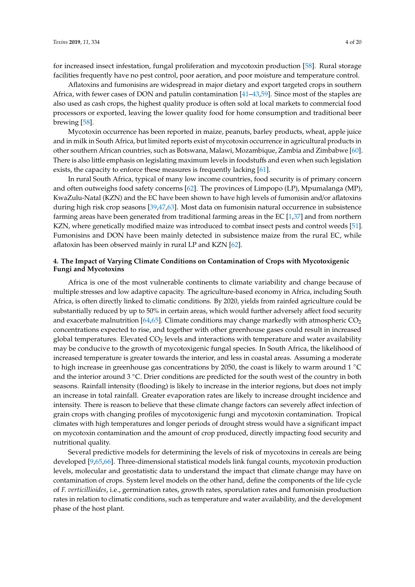for increased insect infestation, fungal proliferation and mycotoxin production [\[58\]](#page-15-9). Rural storage facilities frequently have no pest control, poor aeration, and poor moisture and temperature control.

Aflatoxins and fumonisins are widespread in major dietary and export targeted crops in southern Africa, with fewer cases of DON and patulin contamination [\[41](#page-14-14)[–43,](#page-14-15)[59\]](#page-15-10). Since most of the staples are also used as cash crops, the highest quality produce is often sold at local markets to commercial food processors or exported, leaving the lower quality food for home consumption and traditional beer brewing [\[58\]](#page-15-9).

Mycotoxin occurrence has been reported in maize, peanuts, barley products, wheat, apple juice and in milk in South Africa, but limited reports exist of mycotoxin occurrence in agricultural products in other southern African countries, such as Botswana, Malawi, Mozambique, Zambia and Zimbabwe [\[60\]](#page-15-11). There is also little emphasis on legislating maximum levels in foodstuffs and even when such legislation exists, the capacity to enforce these measures is frequently lacking [\[61\]](#page-15-12).

In rural South Africa, typical of many low income countries, food security is of primary concern and often outweighs food safety concerns [\[62\]](#page-15-13). The provinces of Limpopo (LP), Mpumalanga (MP), KwaZulu-Natal (KZN) and the EC have been shown to have high levels of fumonisin and/or aflatoxins during high risk crop seasons [\[39,](#page-14-8)[47,](#page-14-12)[63\]](#page-15-14). Most data on fumonisin natural occurrence in subsistence farming areas have been generated from traditional farming areas in the EC [\[1](#page-12-0)[,37\]](#page-14-16) and from northern KZN, where genetically modified maize was introduced to combat insect pests and control weeds [\[51\]](#page-15-2). Fumonisins and DON have been mainly detected in subsistence maize from the rural EC, while aflatoxin has been observed mainly in rural LP and KZN [\[62\]](#page-15-13).

# **4. The Impact of Varying Climate Conditions on Contamination of Crops with Mycotoxigenic Fungi and Mycotoxins**

Africa is one of the most vulnerable continents to climate variability and change because of multiple stresses and low adaptive capacity. The agriculture-based economy in Africa, including South Africa, is often directly linked to climatic conditions. By 2020, yields from rainfed agriculture could be substantially reduced by up to 50% in certain areas, which would further adversely affect food security and exacerbate malnutrition [\[64,](#page-15-15)[65\]](#page-15-16). Climate conditions may change markedly with atmospheric  $CO<sub>2</sub>$ concentrations expected to rise, and together with other greenhouse gases could result in increased global temperatures. Elevated  $CO<sub>2</sub>$  levels and interactions with temperature and water availability may be conducive to the growth of mycotoxigenic fungal species. In South Africa, the likelihood of increased temperature is greater towards the interior, and less in coastal areas. Assuming a moderate to high increase in greenhouse gas concentrations by 2050, the coast is likely to warm around 1 ◦C and the interior around 3 ◦C. Drier conditions are predicted for the south west of the country in both seasons. Rainfall intensity (flooding) is likely to increase in the interior regions, but does not imply an increase in total rainfall. Greater evaporation rates are likely to increase drought incidence and intensity. There is reason to believe that these climate change factors can severely affect infection of grain crops with changing profiles of mycotoxigenic fungi and mycotoxin contamination. Tropical climates with high temperatures and longer periods of drought stress would have a significant impact on mycotoxin contamination and the amount of crop produced, directly impacting food security and nutritional quality.

Several predictive models for determining the levels of risk of mycotoxins in cereals are being developed [\[9,](#page-13-2)[65,](#page-15-16)[66\]](#page-15-17). Three-dimensional statistical models link fungal counts, mycotoxin production levels, molecular and geostatistic data to understand the impact that climate change may have on contamination of crops. System level models on the other hand, define the components of the life cycle of *F. verticillioides*, i.e., germination rates, growth rates, sporulation rates and fumonisin production rates in relation to climatic conditions, such as temperature and water availability, and the development phase of the host plant.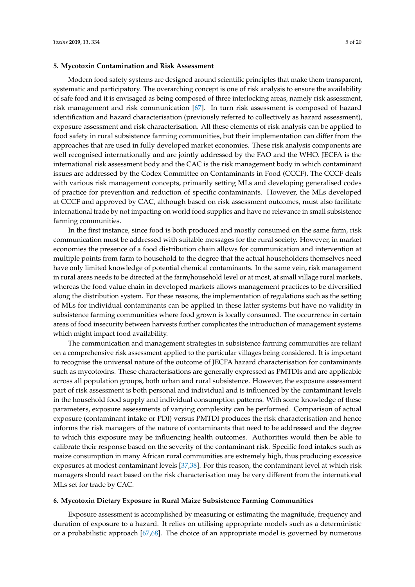## **5. Mycotoxin Contamination and Risk Assessment**

Modern food safety systems are designed around scientific principles that make them transparent, systematic and participatory. The overarching concept is one of risk analysis to ensure the availability of safe food and it is envisaged as being composed of three interlocking areas, namely risk assessment, risk management and risk communication [\[67\]](#page-15-18). In turn risk assessment is composed of hazard identification and hazard characterisation (previously referred to collectively as hazard assessment), exposure assessment and risk characterisation. All these elements of risk analysis can be applied to food safety in rural subsistence farming communities, but their implementation can differ from the approaches that are used in fully developed market economies. These risk analysis components are well recognised internationally and are jointly addressed by the FAO and the WHO. JECFA is the international risk assessment body and the CAC is the risk management body in which contaminant issues are addressed by the Codex Committee on Contaminants in Food (CCCF). The CCCF deals with various risk management concepts, primarily setting MLs and developing generalised codes of practice for prevention and reduction of specific contaminants. However, the MLs developed at CCCF and approved by CAC, although based on risk assessment outcomes, must also facilitate international trade by not impacting on world food supplies and have no relevance in small subsistence farming communities.

In the first instance, since food is both produced and mostly consumed on the same farm, risk communication must be addressed with suitable messages for the rural society. However, in market economies the presence of a food distribution chain allows for communication and intervention at multiple points from farm to household to the degree that the actual householders themselves need have only limited knowledge of potential chemical contaminants. In the same vein, risk management in rural areas needs to be directed at the farm/household level or at most, at small village rural markets, whereas the food value chain in developed markets allows management practices to be diversified along the distribution system. For these reasons, the implementation of regulations such as the setting of MLs for individual contaminants can be applied in these latter systems but have no validity in subsistence farming communities where food grown is locally consumed. The occurrence in certain areas of food insecurity between harvests further complicates the introduction of management systems which might impact food availability.

The communication and management strategies in subsistence farming communities are reliant on a comprehensive risk assessment applied to the particular villages being considered. It is important to recognise the universal nature of the outcome of JECFA hazard characterisation for contaminants such as mycotoxins. These characterisations are generally expressed as PMTDIs and are applicable across all population groups, both urban and rural subsistence. However, the exposure assessment part of risk assessment is both personal and individual and is influenced by the contaminant levels in the household food supply and individual consumption patterns. With some knowledge of these parameters, exposure assessments of varying complexity can be performed. Comparison of actual exposure (contaminant intake or PDI) versus PMTDI produces the risk characterisation and hence informs the risk managers of the nature of contaminants that need to be addressed and the degree to which this exposure may be influencing health outcomes. Authorities would then be able to calibrate their response based on the severity of the contaminant risk. Specific food intakes such as maize consumption in many African rural communities are extremely high, thus producing excessive exposures at modest contaminant levels [\[37,](#page-14-16)[38\]](#page-14-7). For this reason, the contaminant level at which risk managers should react based on the risk characterisation may be very different from the international MLs set for trade by CAC.

# **6. Mycotoxin Dietary Exposure in Rural Maize Subsistence Farming Communities**

Exposure assessment is accomplished by measuring or estimating the magnitude, frequency and duration of exposure to a hazard. It relies on utilising appropriate models such as a deterministic or a probabilistic approach [\[67](#page-15-18)[,68\]](#page-16-0). The choice of an appropriate model is governed by numerous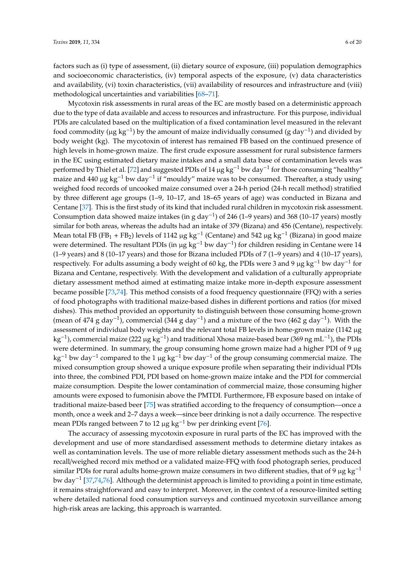factors such as (i) type of assessment, (ii) dietary source of exposure, (iii) population demographics and socioeconomic characteristics, (iv) temporal aspects of the exposure, (v) data characteristics and availability, (vi) toxin characteristics, (vii) availability of resources and infrastructure and (viii) methodological uncertainties and variabilities [\[68](#page-16-0)[–71\]](#page-16-1).

Mycotoxin risk assessments in rural areas of the EC are mostly based on a deterministic approach due to the type of data available and access to resources and infrastructure. For this purpose, individual PDIs are calculated based on the multiplication of a fixed contamination level measured in the relevant food commodity (µg  $kg^{-1}$ ) by the amount of maize individually consumed (g day<sup>-1</sup>) and divided by body weight (kg). The mycotoxin of interest has remained FB based on the continued presence of high levels in home-grown maize. The first crude exposure assessment for rural subsistence farmers in the EC using estimated dietary maize intakes and a small data base of contamination levels was performed by Thiel et al. [\[72\]](#page-16-2) and suggested PDIs of 14 μg kg<sup>-1</sup> bw day<sup>-1</sup> for those consuming "healthy" maize and 440 µg kg<sup>-1</sup> bw day<sup>-1</sup> if "mouldy" maize was to be consumed. Thereafter, a study using weighed food records of uncooked maize consumed over a 24-h period (24-h recall method) stratified by three different age groups (1–9, 10–17, and 18–65 years of age) was conducted in Bizana and Centane [\[37\]](#page-14-16). This is the first study of its kind that included rural children in mycotoxin risk assessment. Consumption data showed maize intakes (in g day−<sup>1</sup> ) of 246 (1–9 years) and 368 (10–17 years) mostly similar for both areas, whereas the adults had an intake of 379 (Bizana) and 456 (Centane), respectively. Mean total FB (FB<sub>1</sub> + FB<sub>2</sub>) levels of 1142 µg kg<sup>-1</sup> (Centane) and 542 µg kg<sup>-1</sup> (Bizana) in good maize were determined. The resultant PDIs (in µg kg<sup>-1</sup> bw day<sup>-1</sup>) for children residing in Centane were 14 (1–9 years) and 8 (10–17 years) and those for Bizana included PDIs of 7 (1–9 years) and 4 (10–17 years), respectively. For adults assuming a body weight of 60 kg, the PDIs were 3 and 9 µg kg−<sup>1</sup> bw day−<sup>1</sup> for Bizana and Centane, respectively. With the development and validation of a culturally appropriate dietary assessment method aimed at estimating maize intake more in-depth exposure assessment became possible [\[73](#page-16-3)[,74\]](#page-16-4). This method consists of a food frequency questionnaire (FFQ) with a series of food photographs with traditional maize-based dishes in different portions and ratios (for mixed dishes). This method provided an opportunity to distinguish between those consuming home-grown (mean of 474 g day<sup>-1</sup>), commercial (344 g day<sup>-1</sup>) and a mixture of the two (462 g day<sup>-1</sup>). With the assessment of individual body weights and the relevant total FB levels in home-grown maize (1142 µg kg<sup>-1</sup>), commercial maize (222 µg kg<sup>-1</sup>) and traditional Xhosa maize-based bear (369 ng mL<sup>-1</sup>), the PDIs were determined. In summary, the group consuming home grown maize had a higher PDI of 9 µg kg<sup>-1</sup> bw day<sup>-1</sup> compared to the 1 µg kg<sup>-1</sup> bw day<sup>-1</sup> of the group consuming commercial maize. The mixed consumption group showed a unique exposure profile when separating their individual PDIs into three, the combined PDI, PDI based on home-grown maize intake and the PDI for commercial maize consumption. Despite the lower contamination of commercial maize, those consuming higher amounts were exposed to fumonisin above the PMTDI. Furthermore, FB exposure based on intake of traditional maize-based beer [\[75\]](#page-16-5) was stratified according to the frequency of consumption—once a month, once a week and 2–7 days a week—since beer drinking is not a daily occurrence. The respective mean PDIs ranged between 7 to 12  $\mu$ g kg<sup>-1</sup> bw per drinking event [\[76\]](#page-16-6).

The accuracy of assessing mycotoxin exposure in rural parts of the EC has improved with the development and use of more standardised assessment methods to determine dietary intakes as well as contamination levels. The use of more reliable dietary assessment methods such as the 24-h recall/weighed record mix method or a validated maize-FFQ with food photograph series, produced similar PDIs for rural adults home-grown maize consumers in two different studies, that of 9 µg kg<sup>-1</sup> bw day−<sup>1</sup> [\[37](#page-14-16)[,74](#page-16-4)[,76\]](#page-16-6). Although the determinist approach is limited to providing a point in time estimate, it remains straightforward and easy to interpret. Moreover, in the context of a resource-limited setting where detailed national food consumption surveys and continued mycotoxin surveillance among high-risk areas are lacking, this approach is warranted.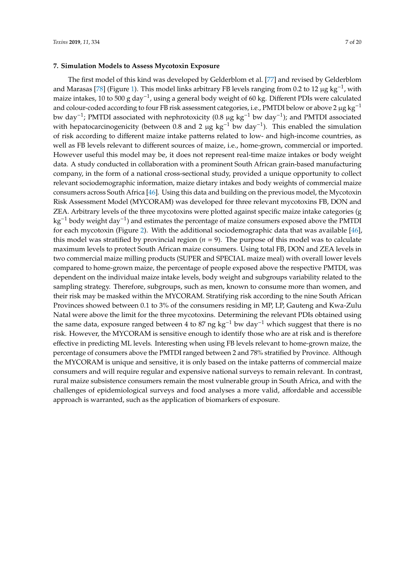# **7. Simulation Models to Assess Mycotoxin Exposure**

The first model of this kind was developed by Gelderblom et al. [\[77\]](#page-16-7) and revised by Gelderblom and Marasas [\[78\]](#page-16-8) (Figure [1\)](#page-7-0). This model links arbitrary FB levels ranging from 0.2 to 12 µg kg<sup>-1</sup>, with maize intakes, 10 to 500 g day−<sup>1</sup> , using a general body weight of 60 kg. Different PDIs were calculated and colour-coded according to four FB risk assessment categories, i.e., PMTDI below or above 2  $\mu$ g kg<sup>-1</sup> bw day−<sup>1</sup> ; PMTDI associated with nephrotoxicity (0.8 µg kg−<sup>1</sup> bw day−<sup>1</sup> ); and PMTDI associated with hepatocarcinogenicity (between 0.8 and 2 µg  $kg^{-1}$  bw day<sup>-1</sup>). This enabled the simulation of risk according to different maize intake patterns related to low- and high-income countries, as well as FB levels relevant to different sources of maize, i.e., home-grown, commercial or imported. However useful this model may be, it does not represent real-time maize intakes or body weight data. A study conducted in collaboration with a prominent South African grain-based manufacturing company, in the form of a national cross-sectional study, provided a unique opportunity to collect relevant sociodemographic information, maize dietary intakes and body weights of commercial maize consumers across South Africa [\[46\]](#page-14-11). Using this data and building on the previous model, the Mycotoxin Risk Assessment Model (MYCORAM) was developed for three relevant mycotoxins FB, DON and ZEA. Arbitrary levels of the three mycotoxins were plotted against specific maize intake categories (g kg<sup>-1</sup> body weight day<sup>-1</sup>) and estimates the percentage of maize consumers exposed above the PMTDI for each mycotoxin (Figure [2\)](#page-7-1). With the additional sociodemographic data that was available [\[46\]](#page-14-11), this model was stratified by provincial region  $(n = 9)$ . The purpose of this model was to calculate maximum levels to protect South African maize consumers. Using total FB, DON and ZEA levels in two commercial maize milling products (SUPER and SPECIAL maize meal) with overall lower levels compared to home-grown maize, the percentage of people exposed above the respective PMTDI, was dependent on the individual maize intake levels, body weight and subgroups variability related to the sampling strategy. Therefore, subgroups, such as men, known to consume more than women, and their risk may be masked within the MYCORAM. Stratifying risk according to the nine South African Provinces showed between 0.1 to 3% of the consumers residing in MP, LP, Gauteng and Kwa-Zulu Natal were above the limit for the three mycotoxins. Determining the relevant PDIs obtained using the same data, exposure ranged between 4 to 87 ng kg<sup>-1</sup> bw day<sup>-1</sup> which suggest that there is no risk. However, the MYCORAM is sensitive enough to identify those who are at risk and is therefore effective in predicting ML levels. Interesting when using FB levels relevant to home-grown maize, the percentage of consumers above the PMTDI ranged between 2 and 78% stratified by Province. Although the MYCORAM is unique and sensitive, it is only based on the intake patterns of commercial maize consumers and will require regular and expensive national surveys to remain relevant. In contrast, rural maize subsistence consumers remain the most vulnerable group in South Africa, and with the challenges of epidemiological surveys and food analyses a more valid, affordable and accessible approach is warranted, such as the application of biomarkers of exposure.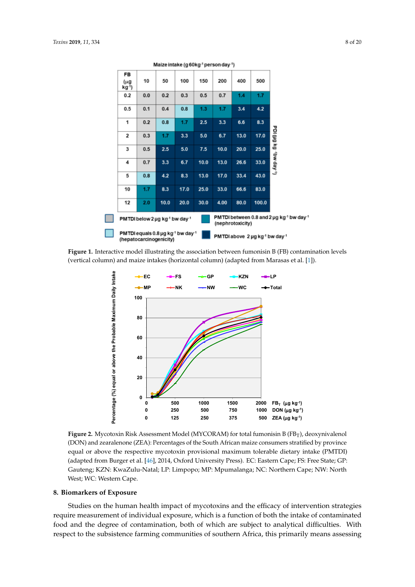<span id="page-7-0"></span>

<span id="page-7-1"></span>(vertical column) and maize intakes (horizontal column) (adapted from Marasas et al. [\[1\]](#page-12-0)). **Figure 1.** Interactive model illustrating the association between fumonisin B (FB) contamination levels



**Figure 2.** Mycotoxin Risk Assessment Model (MYCORAM) for total fumonisin B (FBT), (DON) and zearalenone (ZEA): Percentages of the South African maize consumers stratified by province equal or above the respective mycotoxin provisional maximum tolerable dietary intake (PMTDI) stratified by province equal or above the respective mycotoxin provisional maximum tolerable (adapted from Burger et al. [\[46\]](#page-14-11), 2014, Oxford University Press). EC: Eastern Cape; FS: Free State; GP: dietary intake (PMTDI) (adapted from Burger et al. [46], 2014, Oxford University Press). EC: Eastern Gauteng; KZN: KwaZulu-Natal; LP: Limpopo; MP: Mpumalanga; NC: Northern Cape; NW: North<br>West WC Western Cape Northern Cape; NW: North West; WC: Western Cape. **Figure 2.** Mycotoxin Risk Assessment Model (MYCORAM) for total fumonisin B (FB<sub>T</sub>), deoxynivalenol West; WC: Western Cape.

# **8. Biomarkers of Exposure**

Studies on the human health impact of mycotoxins and the efficacy of intervention strategies require measurement of individual exposure, which is a function of both the intake of contaminated food and the degree of contamination, both of which are subject to analytical difficulties. With respect to the subsistence farming communities of southern Africa, this primarily means assessing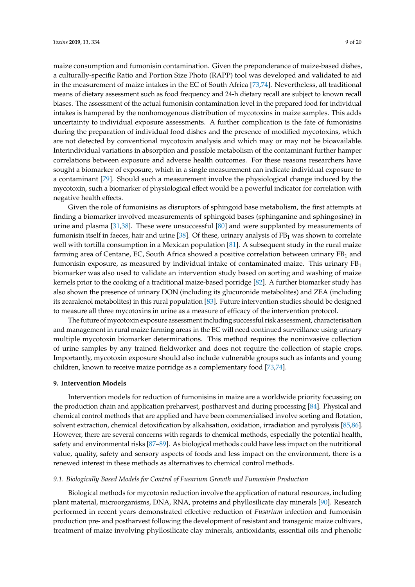maize consumption and fumonisin contamination. Given the preponderance of maize-based dishes, a culturally-specific Ratio and Portion Size Photo (RAPP) tool was developed and validated to aid in the measurement of maize intakes in the EC of South Africa [\[73,](#page-16-3)[74\]](#page-16-4). Nevertheless, all traditional means of dietary assessment such as food frequency and 24-h dietary recall are subject to known recall biases. The assessment of the actual fumonisin contamination level in the prepared food for individual intakes is hampered by the nonhomogenous distribution of mycotoxins in maize samples. This adds uncertainty to individual exposure assessments. A further complication is the fate of fumonisins during the preparation of individual food dishes and the presence of modified mycotoxins, which are not detected by conventional mycotoxin analysis and which may or may not be bioavailable. Interindividual variations in absorption and possible metabolism of the contaminant further hamper correlations between exposure and adverse health outcomes. For these reasons researchers have sought a biomarker of exposure, which in a single measurement can indicate individual exposure to a contaminant [\[79\]](#page-16-9). Should such a measurement involve the physiological change induced by the mycotoxin, such a biomarker of physiological effect would be a powerful indicator for correlation with negative health effects.

Given the role of fumonisins as disruptors of sphingoid base metabolism, the first attempts at finding a biomarker involved measurements of sphingoid bases (sphinganine and sphingosine) in urine and plasma [\[31,](#page-14-1)[38\]](#page-14-7). These were unsuccessful [\[80\]](#page-16-10) and were supplanted by measurements of fumonisin itself in faeces, hair and urine [\[38\]](#page-14-7). Of these, urinary analysis of  $FB<sub>1</sub>$  was shown to correlate well with tortilla consumption in a Mexican population [\[81\]](#page-16-11). A subsequent study in the rural maize farming area of Centane, EC, South Africa showed a positive correlation between urinary FB<sub>1</sub> and fumonisin exposure, as measured by individual intake of contaminated maize. This urinary  $FB<sub>1</sub>$ biomarker was also used to validate an intervention study based on sorting and washing of maize kernels prior to the cooking of a traditional maize-based porridge [\[82\]](#page-16-12). A further biomarker study has also shown the presence of urinary DON (including its glucuronide metabolites) and ZEA (including its zearalenol metabolites) in this rural population [\[83\]](#page-16-13). Future intervention studies should be designed to measure all three mycotoxins in urine as a measure of efficacy of the intervention protocol.

The future of mycotoxin exposure assessment including successful risk assessment, characterisation and management in rural maize farming areas in the EC will need continued surveillance using urinary multiple mycotoxin biomarker determinations. This method requires the noninvasive collection of urine samples by any trained fieldworker and does not require the collection of staple crops. Importantly, mycotoxin exposure should also include vulnerable groups such as infants and young children, known to receive maize porridge as a complementary food [\[73,](#page-16-3)[74\]](#page-16-4).

# **9. Intervention Models**

Intervention models for reduction of fumonisins in maize are a worldwide priority focussing on the production chain and application preharvest, postharvest and during processing [\[84\]](#page-16-14). Physical and chemical control methods that are applied and have been commercialised involve sorting and flotation, solvent extraction, chemical detoxification by alkalisation, oxidation, irradiation and pyrolysis [\[85](#page-16-15)[,86\]](#page-16-16). However, there are several concerns with regards to chemical methods, especially the potential health, safety and environmental risks [\[87–](#page-17-0)[89\]](#page-17-1). As biological methods could have less impact on the nutritional value, quality, safety and sensory aspects of foods and less impact on the environment, there is a renewed interest in these methods as alternatives to chemical control methods.

# *9.1. Biologically Based Models for Control of Fusarium Growth and Fumonisin Production*

Biological methods for mycotoxin reduction involve the application of natural resources, including plant material, microorganisms, DNA, RNA, proteins and phyllosilicate clay minerals [\[90\]](#page-17-2). Research performed in recent years demonstrated effective reduction of *Fusarium* infection and fumonisin production pre- and postharvest following the development of resistant and transgenic maize cultivars, treatment of maize involving phyllosilicate clay minerals, antioxidants, essential oils and phenolic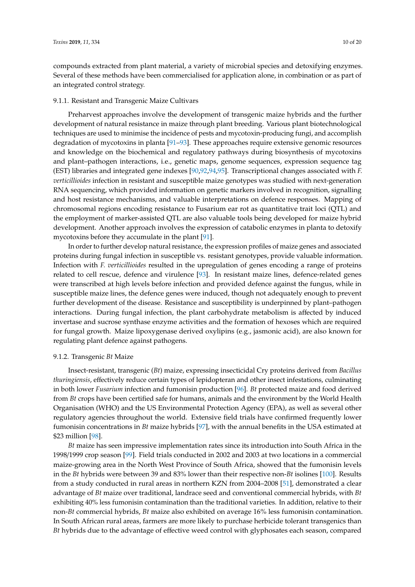compounds extracted from plant material, a variety of microbial species and detoxifying enzymes. Several of these methods have been commercialised for application alone, in combination or as part of an integrated control strategy.

#### 9.1.1. Resistant and Transgenic Maize Cultivars

Preharvest approaches involve the development of transgenic maize hybrids and the further development of natural resistance in maize through plant breeding. Various plant biotechnological techniques are used to minimise the incidence of pests and mycotoxin-producing fungi, and accomplish degradation of mycotoxins in planta [\[91](#page-17-3)[–93\]](#page-17-4). These approaches require extensive genomic resources and knowledge on the biochemical and regulatory pathways during biosynthesis of mycotoxins and plant–pathogen interactions, i.e., genetic maps, genome sequences, expression sequence tag (EST) libraries and integrated gene indexes [\[90](#page-17-2)[,92](#page-17-5)[,94](#page-17-6)[,95\]](#page-17-7). Transcriptional changes associated with *F. verticillioides* infection in resistant and susceptible maize genotypes was studied with next-generation RNA sequencing, which provided information on genetic markers involved in recognition, signalling and host resistance mechanisms, and valuable interpretations on defence responses. Mapping of chromosomal regions encoding resistance to Fusarium ear rot as quantitative trait loci (QTL) and the employment of marker-assisted QTL are also valuable tools being developed for maize hybrid development. Another approach involves the expression of catabolic enzymes in planta to detoxify mycotoxins before they accumulate in the plant [\[91\]](#page-17-3).

In order to further develop natural resistance, the expression profiles of maize genes and associated proteins during fungal infection in susceptible vs. resistant genotypes, provide valuable information. Infection with *F. verticillioides* resulted in the upregulation of genes encoding a range of proteins related to cell rescue, defence and virulence [\[93\]](#page-17-4). In resistant maize lines, defence-related genes were transcribed at high levels before infection and provided defence against the fungus, while in susceptible maize lines, the defence genes were induced, though not adequately enough to prevent further development of the disease. Resistance and susceptibility is underpinned by plant–pathogen interactions. During fungal infection, the plant carbohydrate metabolism is affected by induced invertase and sucrose synthase enzyme activities and the formation of hexoses which are required for fungal growth. Maize lipoxygenase derived oxylipins (e.g., jasmonic acid), are also known for regulating plant defence against pathogens.

#### 9.1.2. Transgenic *Bt* Maize

Insect-resistant, transgenic (*Bt*) maize, expressing insecticidal Cry proteins derived from *Bacillus thuringiensis*, effectively reduce certain types of lepidopteran and other insect infestations, culminating in both lower *Fusarium* infection and fumonisin production [\[96\]](#page-17-8). *Bt* protected maize and food derived from *Bt* crops have been certified safe for humans, animals and the environment by the World Health Organisation (WHO) and the US Environmental Protection Agency (EPA), as well as several other regulatory agencies throughout the world. Extensive field trials have confirmed frequently lower fumonisin concentrations in *Bt* maize hybrids [\[97\]](#page-17-9), with the annual benefits in the USA estimated at \$23 million [\[98\]](#page-17-10).

*Bt* maize has seen impressive implementation rates since its introduction into South Africa in the 1998/1999 crop season [\[99\]](#page-17-11). Field trials conducted in 2002 and 2003 at two locations in a commercial maize-growing area in the North West Province of South Africa, showed that the fumonisin levels in the *Bt* hybrids were between 39 and 83% lower than their respective non-*Bt* isolines [\[100\]](#page-17-12). Results from a study conducted in rural areas in northern KZN from 2004–2008 [\[51\]](#page-15-2), demonstrated a clear advantage of *Bt* maize over traditional, landrace seed and conventional commercial hybrids, with *Bt* exhibiting 40% less fumonisin contamination than the traditional varieties. In addition, relative to their non-*Bt* commercial hybrids, *Bt* maize also exhibited on average 16% less fumonisin contamination. In South African rural areas, farmers are more likely to purchase herbicide tolerant transgenics than *Bt* hybrids due to the advantage of effective weed control with glyphosates each season, compared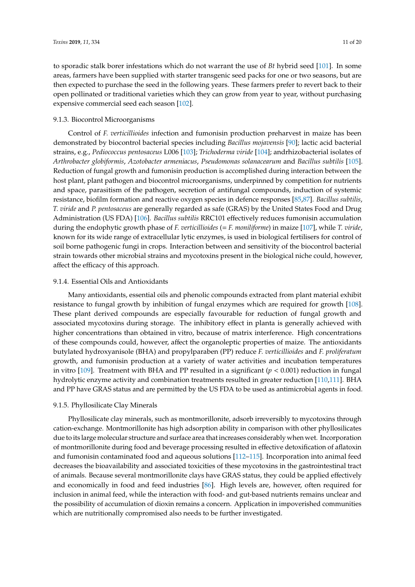to sporadic stalk borer infestations which do not warrant the use of *Bt* hybrid seed [\[101\]](#page-17-13). In some areas, farmers have been supplied with starter transgenic seed packs for one or two seasons, but are then expected to purchase the seed in the following years. These farmers prefer to revert back to their open pollinated or traditional varieties which they can grow from year to year, without purchasing expensive commercial seed each season [\[102\]](#page-17-14).

#### 9.1.3. Biocontrol Microorganisms

Control of *F. verticillioides* infection and fumonisin production preharvest in maize has been demonstrated by biocontrol bacterial species including *Bacillus mojavensis* [\[90\]](#page-17-2); lactic acid bacterial strains, e.g., *Pediococcus pentosaceus* L006 [\[103\]](#page-17-15); *Trichoderma viride* [\[104\]](#page-17-16); andrhizobacterial isolates of *Arthrobacter globiformis*, *Azotobacter armeniacus*, *Pseudomonas solanacearum* and *Bacillus subtilis* [\[105\]](#page-17-17). Reduction of fungal growth and fumonisin production is accomplished during interaction between the host plant, plant pathogen and biocontrol microorganisms, underpinned by competition for nutrients and space, parasitism of the pathogen, secretion of antifungal compounds, induction of systemic resistance, biofilm formation and reactive oxygen species in defence responses [\[85](#page-16-15)[,87\]](#page-17-0). *Bacillus subtilis*, *T. viride* and *P. pentosaceus* are generally regarded as safe (GRAS) by the United States Food and Drug Administration (US FDA) [\[106\]](#page-17-18). *Bacillus subtilis* RRC101 effectively reduces fumonisin accumulation during the endophytic growth phase of *F. verticillioides* (= *F. moniliforme*) in maize [\[107\]](#page-18-0), while *T. viride*, known for its wide range of extracellular lytic enzymes, is used in biological fertilisers for control of soil borne pathogenic fungi in crops. Interaction between and sensitivity of the biocontrol bacterial strain towards other microbial strains and mycotoxins present in the biological niche could, however, affect the efficacy of this approach.

### 9.1.4. Essential Oils and Antioxidants

Many antioxidants, essential oils and phenolic compounds extracted from plant material exhibit resistance to fungal growth by inhibition of fungal enzymes which are required for growth [\[108\]](#page-18-1). These plant derived compounds are especially favourable for reduction of fungal growth and associated mycotoxins during storage. The inhibitory effect in planta is generally achieved with higher concentrations than obtained in vitro, because of matrix interference. High concentrations of these compounds could, however, affect the organoleptic properties of maize. The antioxidants butylated hydroxyanisole (BHA) and propylparaben (PP) reduce *F. verticillioides* and *F. proliferatum* growth, and fumonisin production at a variety of water activities and incubation temperatures in vitro  $[109]$ . Treatment with BHA and PP resulted in a significant ( $p < 0.001$ ) reduction in fungal hydrolytic enzyme activity and combination treatments resulted in greater reduction [\[110,](#page-18-3)[111\]](#page-18-4). BHA and PP have GRAS status and are permitted by the US FDA to be used as antimicrobial agents in food.

## 9.1.5. Phyllosilicate Clay Minerals

Phyllosilicate clay minerals, such as montmorillonite, adsorb irreversibly to mycotoxins through cation-exchange. Montmorillonite has high adsorption ability in comparison with other phyllosilicates due to its large molecular structure and surface area that increases considerably when wet. Incorporation of montmorillonite during food and beverage processing resulted in effective detoxification of aflatoxin and fumonisin contaminated food and aqueous solutions [\[112–](#page-18-5)[115\]](#page-18-6). Incorporation into animal feed decreases the bioavailability and associated toxicities of these mycotoxins in the gastrointestinal tract of animals. Because several montmorillonite clays have GRAS status, they could be applied effectively and economically in food and feed industries [\[86\]](#page-16-16). High levels are, however, often required for inclusion in animal feed, while the interaction with food- and gut-based nutrients remains unclear and the possibility of accumulation of dioxin remains a concern. Application in impoverished communities which are nutritionally compromised also needs to be further investigated.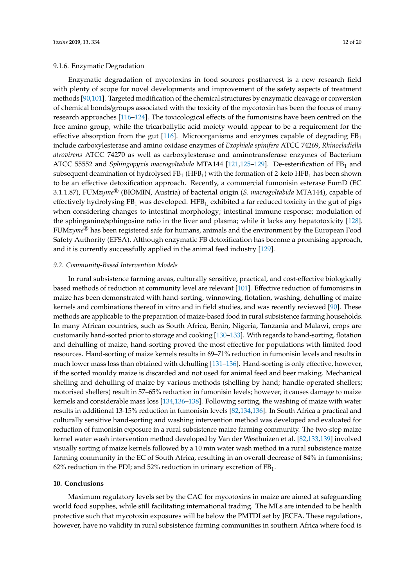# 9.1.6. Enzymatic Degradation

Enzymatic degradation of mycotoxins in food sources postharvest is a new research field with plenty of scope for novel developments and improvement of the safety aspects of treatment methods [\[90,](#page-17-2)[101\]](#page-17-13). Targeted modification of the chemical structures by enzymatic cleavage or conversion of chemical bonds/groups associated with the toxicity of the mycotoxin has been the focus of many research approaches [\[116](#page-18-7)[–124\]](#page-18-8). The toxicological effects of the fumonisins have been centred on the free amino group, while the tricarballylic acid moiety would appear to be a requirement for the effective absorption from the gut [\[116\]](#page-18-7). Microorganisms and enzymes capable of degrading  $FB<sub>1</sub>$ include carboxylesterase and amino oxidase enzymes of *Exophiala spinifera* ATCC 74269, *Rhinocladiella atrovirens* ATCC 74270 as well as carboxylesterase and aminotransferase enzymes of Bacterium ATCC 55552 and *Sphingopyxis macrogoltabida* MTA144 [\[121,](#page-18-9)[125–](#page-18-10)[129\]](#page-19-0). De-esterification of FB<sup>1</sup> and subsequent deamination of hydrolysed  $FB_1$  (HFB<sub>1</sub>) with the formation of 2-keto HFB<sub>1</sub> has been shown to be an effective detoxification approach. Recently, a commercial fumonisin esterase FumD (EC 3.1.1.87), FUM*zyme*® (BIOMIN, Austria) of bacterial origin (*S. macrogoltabida* MTA144), capable of effectively hydrolysing  $FB<sub>1</sub>$  was developed. HFB<sub>1</sub> exhibited a far reduced toxicity in the gut of pigs when considering changes to intestinal morphology; intestinal immune response; modulation of the sphinganine/sphingosine ratio in the liver and plasma; while it lacks any hepatotoxicity [\[128\]](#page-19-1). FUM*zyme*® has been registered safe for humans, animals and the environment by the European Food Safety Authority (EFSA). Although enzymatic FB detoxification has become a promising approach, and it is currently successfully applied in the animal feed industry [\[129\]](#page-19-0).

#### *9.2. Community-Based Intervention Models*

In rural subsistence farming areas, culturally sensitive, practical, and cost-effective biologically based methods of reduction at community level are relevant [\[101\]](#page-17-13). Effective reduction of fumonisins in maize has been demonstrated with hand-sorting, winnowing, flotation, washing, dehulling of maize kernels and combinations thereof in vitro and in field studies, and was recently reviewed [\[90\]](#page-17-2). These methods are applicable to the preparation of maize-based food in rural subsistence farming households. In many African countries, such as South Africa, Benin, Nigeria, Tanzania and Malawi, crops are customarily hand-sorted prior to storage and cooking [\[130](#page-19-2)[–133\]](#page-19-3). With regards to hand-sorting, flotation and dehulling of maize, hand-sorting proved the most effective for populations with limited food resources. Hand-sorting of maize kernels results in 69–71% reduction in fumonisin levels and results in much lower mass loss than obtained with dehulling [\[131](#page-19-4)[–136\]](#page-19-5). Hand-sorting is only effective, however, if the sorted mouldy maize is discarded and not used for animal feed and beer making. Mechanical shelling and dehulling of maize by various methods (shelling by hand; handle-operated shellers; motorised shellers) result in 57–65% reduction in fumonisin levels; however, it causes damage to maize kernels and considerable mass loss [\[134](#page-19-6)[,136–](#page-19-5)[138\]](#page-19-7). Following sorting, the washing of maize with water results in additional 13-15% reduction in fumonisin levels [\[82](#page-16-12)[,134,](#page-19-6)[136\]](#page-19-5). In South Africa a practical and culturally sensitive hand-sorting and washing intervention method was developed and evaluated for reduction of fumonisin exposure in a rural subsistence maize farming community. The two-step maize kernel water wash intervention method developed by Van der Westhuizen et al. [\[82,](#page-16-12)[133](#page-19-3)[,139\]](#page-19-8) involved visually sorting of maize kernels followed by a 10 min water wash method in a rural subsistence maize farming community in the EC of South Africa, resulting in an overall decrease of 84% in fumonisins; 62% reduction in the PDI; and 52% reduction in urinary excretion of  $FB<sub>1</sub>$ .

## **10. Conclusions**

Maximum regulatory levels set by the CAC for mycotoxins in maize are aimed at safeguarding world food supplies, while still facilitating international trading. The MLs are intended to be health protective such that mycotoxin exposures will be below the PMTDI set by JECFA. These regulations, however, have no validity in rural subsistence farming communities in southern Africa where food is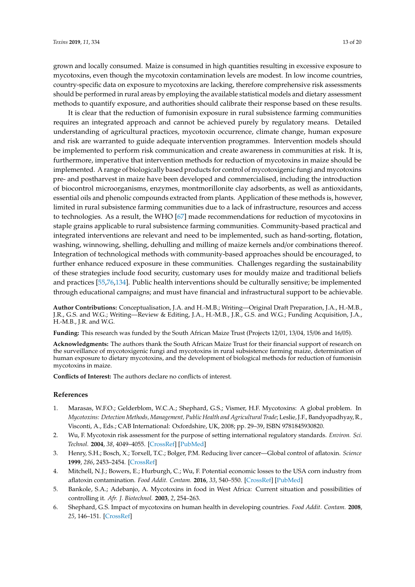grown and locally consumed. Maize is consumed in high quantities resulting in excessive exposure to mycotoxins, even though the mycotoxin contamination levels are modest. In low income countries, country-specific data on exposure to mycotoxins are lacking, therefore comprehensive risk assessments should be performed in rural areas by employing the available statistical models and dietary assessment methods to quantify exposure, and authorities should calibrate their response based on these results.

It is clear that the reduction of fumonisin exposure in rural subsistence farming communities requires an integrated approach and cannot be achieved purely by regulatory means. Detailed understanding of agricultural practices, mycotoxin occurrence, climate change, human exposure and risk are warranted to guide adequate intervention programmes. Intervention models should be implemented to perform risk communication and create awareness in communities at risk. It is, furthermore, imperative that intervention methods for reduction of mycotoxins in maize should be implemented. A range of biologically based products for control of mycotoxigenic fungi and mycotoxins pre- and postharvest in maize have been developed and commercialised, including the introduction of biocontrol microorganisms, enzymes, montmorillonite clay adsorbents, as well as antioxidants, essential oils and phenolic compounds extracted from plants. Application of these methods is, however, limited in rural subsistence farming communities due to a lack of infrastructure, resources and access to technologies. As a result, the WHO [\[67\]](#page-15-18) made recommendations for reduction of mycotoxins in staple grains applicable to rural subsistence farming communities. Community-based practical and integrated interventions are relevant and need to be implemented, such as hand-sorting, flotation, washing, winnowing, shelling, dehulling and milling of maize kernels and/or combinations thereof. Integration of technological methods with community-based approaches should be encouraged, to further enhance reduced exposure in these communities. Challenges regarding the sustainability of these strategies include food security, customary uses for mouldy maize and traditional beliefs and practices [\[55](#page-15-6)[,76](#page-16-6)[,134\]](#page-19-6). Public health interventions should be culturally sensitive; be implemented through educational campaigns; and must have financial and infrastructural support to be achievable.

**Author Contributions:** Conceptualisation, J.A. and H.-M.B.; Writing—Original Draft Preparation, J.A., H.-M.B., J.R., G.S. and W.G.; Writing—Review & Editing, J.A., H.-M.B., J.R., G.S. and W.G.; Funding Acquisition, J.A., H.-M.B., J.R. and W.G.

**Funding:** This research was funded by the South African Maize Trust (Projects 12/01, 13/04, 15/06 and 16/05).

**Acknowledgments:** The authors thank the South African Maize Trust for their financial support of research on the surveillance of mycotoxigenic fungi and mycotoxins in rural subsistence farming maize, determination of human exposure to dietary mycotoxins, and the development of biological methods for reduction of fumonisin mycotoxins in maize.

**Conflicts of Interest:** The authors declare no conflicts of interest.

## **References**

- <span id="page-12-0"></span>1. Marasas, W.F.O.; Gelderblom, W.C.A.; Shephard, G.S.; Vismer, H.F. Mycotoxins: A global problem. In *Mycotoxins: Detection Methods, Management, Public Health and Agricultural Trade*; Leslie, J.F., Bandyopadhyay, R., Visconti, A., Eds.; CAB International: Oxfordshire, UK, 2008; pp. 29–39, ISBN 9781845930820.
- <span id="page-12-1"></span>2. Wu, F. Mycotoxin risk assessment for the purpose of setting international regulatory standards. *Environ. Sci. Technol.* **2004**, *38*, 4049–4055. [\[CrossRef\]](http://dx.doi.org/10.1021/es035353n) [\[PubMed\]](http://www.ncbi.nlm.nih.gov/pubmed/15352440)
- <span id="page-12-2"></span>3. Henry, S.H.; Bosch, X.; Torxell, T.C.; Bolger, P.M. Reducing liver cancer—Global control of aflatoxin. *Science* **1999**, *286*, 2453–2454. [\[CrossRef\]](http://dx.doi.org/10.1126/science.286.5449.2453)
- <span id="page-12-3"></span>4. Mitchell, N.J.; Bowers, E.; Hurburgh, C.; Wu, F. Potential economic losses to the USA corn industry from aflatoxin contamination. *Food Addit. Contam.* **2016**, *33*, 540–550. [\[CrossRef\]](http://dx.doi.org/10.1080/19440049.2016.1138545) [\[PubMed\]](http://www.ncbi.nlm.nih.gov/pubmed/26807606)
- <span id="page-12-4"></span>5. Bankole, S.A.; Adebanjo, A. Mycotoxins in food in West Africa: Current situation and possibilities of controlling it. *Afr. J. Biotechnol.* **2003**, *2*, 254–263.
- <span id="page-12-5"></span>6. Shephard, G.S. Impact of mycotoxins on human health in developing countries. *Food Addit. Contam.* **2008**, *25*, 146–151. [\[CrossRef\]](http://dx.doi.org/10.1080/02652030701567442)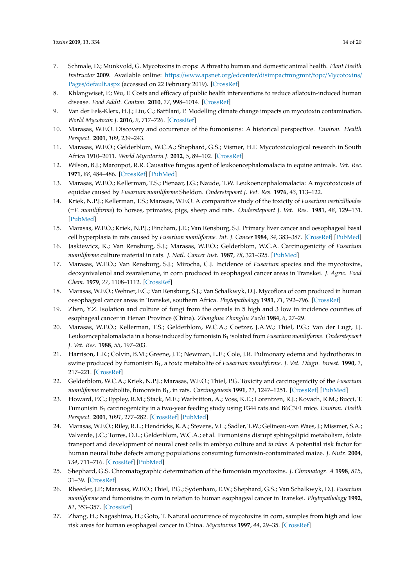- <span id="page-13-0"></span>7. Schmale, D.; Munkvold, G. Mycotoxins in crops: A threat to human and domestic animal health. *Plant Health Instructor* **2009**. Available online: https://www.apsnet.org/edcenter/[disimpactmngmnt](https://www.apsnet.org/edcenter/disimpactmngmnt/topc/Mycotoxins/Pages/default.aspx)/topc/Mycotoxins/ Pages/[default.aspx](https://www.apsnet.org/edcenter/disimpactmngmnt/topc/Mycotoxins/Pages/default.aspx) (accessed on 22 February 2019). [\[CrossRef\]](http://dx.doi.org/10.1094/PHI-I-2009-0715-01)
- <span id="page-13-1"></span>8. Khlangwiset, P.; Wu, F. Costs and efficacy of public health interventions to reduce aflatoxin-induced human disease. *Food Addit. Contam.* **2010**, *27*, 998–1014. [\[CrossRef\]](http://dx.doi.org/10.1080/19440041003677475)
- <span id="page-13-2"></span>9. Van der Fels-Klerx, H.J.; Liu, C.; Battilani, P. Modelling climate change impacts on mycotoxin contamination. *World Mycotoxin J.* **2016**, *9*, 717–726. [\[CrossRef\]](http://dx.doi.org/10.3920/WMJ2016.2066)
- <span id="page-13-3"></span>10. Marasas, W.F.O. Discovery and occurrence of the fumonisins: A historical perspective. *Environ. Health Perspect.* **2001**, *109*, 239–243.
- <span id="page-13-4"></span>11. Marasas, W.F.O.; Gelderblom, W.C.A.; Shephard, G.S.; Vismer, H.F. Mycotoxicological research in South Africa 1910–2011. *World Mycotoxin J.* **2012**, *5*, 89–102. [\[CrossRef\]](http://dx.doi.org/10.3920/WMJ2011.1322)
- <span id="page-13-5"></span>12. Wilson, B.J.; Maronpot, R.R. Causative fungus agent of leukoencephalomalacia in equine animals. *Vet. Rec.* **1971**, *88*, 484–486. [\[CrossRef\]](http://dx.doi.org/10.1136/vr.88.19.484) [\[PubMed\]](http://www.ncbi.nlm.nih.gov/pubmed/4996341)
- 13. Marasas, W.F.O.; Kellerman, T.S.; Pienaar, J.G.; Naude, T.W. Leukoencephalomalacia: A mycotoxicosis of equidae caused by *Fusarium moniliforme* Sheldon. *Onderstepoort J. Vet. Res.* **1976**, *43*, 113–122.
- <span id="page-13-6"></span>14. Kriek, N.P.J.; Kellerman, T.S.; Marasas, W.F.O. A comparative study of the toxicity of *Fusarium verticillioides* (=*F. moniliforme*) to horses, primates, pigs, sheep and rats. *Onderstepoort J. Vet. Res.* **1981**, *48*, 129–131. [\[PubMed\]](http://www.ncbi.nlm.nih.gov/pubmed/7312307)
- <span id="page-13-7"></span>15. Marasas, W.F.O.; Kriek, N.P.J.; Fincham, J.E.; Van Rensburg, S.J. Primary liver cancer and oesophageal basal cell hyperplasia in rats caused by *Fusarium moniliforme*. *Int. J. Cancer* **1984**, *34*, 383–387. [\[CrossRef\]](http://dx.doi.org/10.1002/ijc.2910340315) [\[PubMed\]](http://www.ncbi.nlm.nih.gov/pubmed/6480156)
- <span id="page-13-8"></span>16. Jaskiewicz, K.; Van Rensburg, S.J.; Marasas, W.F.O.; Gelderblom, W.C.A. Carcinogenicity of *Fusarium moniliforme* culture material in rats. *J. Natl. Cancer Inst.* **1987**, *78*, 321–325. [\[PubMed\]](http://www.ncbi.nlm.nih.gov/pubmed/3468296)
- <span id="page-13-9"></span>17. Marasas, W.F.O.; Van Rensburg, S.J.; Mirocha, C.J. Incidence of *Fusarium* species and the mycotoxins, deoxynivalenol and zearalenone, in corn produced in esophageal cancer areas in Transkei. *J. Agric. Food Chem.* **1979**, *27*, 1108–1112. [\[CrossRef\]](http://dx.doi.org/10.1021/jf60225a013)
- <span id="page-13-10"></span>18. Marasas, W.F.O.; Wehner, F.C.; Van Rensburg, S.J.; Van Schalkwyk, D.J. Mycoflora of corn produced in human oesophageal cancer areas in Transkei, southern Africa. *Phytopathology* **1981**, *71*, 792–796. [\[CrossRef\]](http://dx.doi.org/10.1094/Phyto-71-792)
- <span id="page-13-11"></span>19. Zhen, Y.Z. Isolation and culture of fungi from the cereals in 5 high and 3 low in incidence counties of esophageal cancer in Henan Province (China). *Zhonghua Zhongliu Zazhi* **1984**, *6*, 27–29.
- <span id="page-13-12"></span>20. Marasas, W.F.O.; Kellerman, T.S.; Gelderblom, W.C.A.; Coetzer, J.A.W.; Thiel, P.G.; Van der Lugt, J.J. Leukoencephalomalacia in a horse induced by fumonisin B<sup>1</sup> isolated from *Fusarium moniliforme*. *Onderstepoort J. Vet. Res.* **1988**, *55*, 197–203.
- 21. Harrison, L.R.; Colvin, B.M.; Greene, J.T.; Newman, L.E.; Cole, J.R. Pulmonary edema and hydrothorax in swine produced by fumonisin B<sup>1</sup> , a toxic metabolite of *Fusarium moniliforme*. *J. Vet. Diagn. Invest.* **1990**, *2*, 217–221. [\[CrossRef\]](http://dx.doi.org/10.1177/104063879000200312)
- 22. Gelderblom, W.C.A.; Kriek, N.P.J.; Marasas, W.F.O.; Thiel, P.G. Toxicity and carcinogenicity of the *Fusarium moniliforme* metabolite, fumonisin B<sup>1</sup> , in rats. *Carcinogenesis* **1991**, *12*, 1247–1251. [\[CrossRef\]](http://dx.doi.org/10.1093/carcin/12.7.1247) [\[PubMed\]](http://www.ncbi.nlm.nih.gov/pubmed/1649015)
- <span id="page-13-13"></span>23. Howard, P.C.; Eppley, R.M.; Stack, M.E.; Warbritton, A.; Voss, K.E.; Lorentzen, R.J.; Kovach, R.M.; Bucci, T. Fumonisin B<sup>1</sup> carcinogenicity in a two-year feeding study using F344 rats and B6C3F1 mice. *Environ. Health Perspect.* **2001**, *1091*, 277–282. [\[CrossRef\]](http://dx.doi.org/10.1289/ehp.01109s2277) [\[PubMed\]](http://www.ncbi.nlm.nih.gov/pubmed/11359696)
- <span id="page-13-14"></span>24. Marasas, W.F.O.; Riley, R.L.; Hendricks, K.A.; Stevens, V.L.; Sadler, T.W.; Gelineau-van Waes, J.; Missmer, S.A.; Valverde, J.C.; Torres, O.L.; Gelderblom, W.C.A.; et al. Fumonisins disrupt sphingolipid metabolism, folate transport and development of neural crest cells in embryo culture and *in vivo*: A potential risk factor for human neural tube defects among populations consuming fumonisin-contaminated maize. *J. Nutr.* **2004**, *134*, 711–716. [\[CrossRef\]](http://dx.doi.org/10.1093/jn/134.4.711) [\[PubMed\]](http://www.ncbi.nlm.nih.gov/pubmed/15051815)
- <span id="page-13-15"></span>25. Shephard, G.S. Chromatographic determination of the fumonisin mycotoxins. *J. Chromatogr. A* **1998**, *815*, 31–39. [\[CrossRef\]](http://dx.doi.org/10.1016/S0021-9673(98)00187-3)
- <span id="page-13-16"></span>26. Rheeder, J.P.; Marasas, W.F.O.; Thiel, P.G.; Sydenham, E.W.; Shephard, G.S.; Van Schalkwyk, D.J. *Fusarium moniliforme* and fumonisins in corn in relation to human esophageal cancer in Transkei. *Phytopathology* **1992**, *82*, 353–357. [\[CrossRef\]](http://dx.doi.org/10.1094/Phyto-82-353)
- 27. Zhang, H.; Nagashima, H.; Goto, T. Natural occurrence of mycotoxins in corn, samples from high and low risk areas for human esophageal cancer in China. *Mycotoxins* **1997**, *44*, 29–35. [\[CrossRef\]](http://dx.doi.org/10.2520/myco1975.1997.29)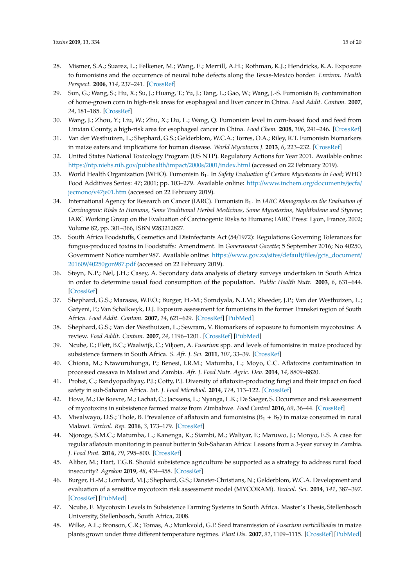- 28. Mismer, S.A.; Suarez, L.; Felkener, M.; Wang, E.; Merrill, A.H.; Rothman, K.J.; Hendricks, K.A. Exposure to fumonisins and the occurrence of neural tube defects along the Texas-Mexico border. *Environ. Health Perspect.* **2006**, *114*, 237–241. [\[CrossRef\]](http://dx.doi.org/10.1289/ehp.8221)
- 29. Sun, G.; Wang, S.; Hu, X.; Su, J.; Huang, T.; Yu, J.; Tang, L.; Gao, W.; Wang, J.-S. Fumonisin B<sub>1</sub> contamination of home-grown corn in high-risk areas for esophageal and liver cancer in China. *Food Addit. Contam.* **2007**, *24*, 181–185. [\[CrossRef\]](http://dx.doi.org/10.1080/02652030601013471)
- <span id="page-14-0"></span>30. Wang, J.; Zhou, Y.; Liu, W.; Zhu, X.; Du, L.; Wang, Q. Fumonisin level in corn-based food and feed from Linxian County, a high-risk area for esophageal cancer in China. *Food Chem.* **2008**, *106*, 241–246. [\[CrossRef\]](http://dx.doi.org/10.1016/j.foodchem.2007.05.076)
- <span id="page-14-1"></span>31. Van der Westhuizen, L.; Shephard, G.S.; Gelderblom, W.C.A.; Torres, O.A.; Riley, R.T. Fumonisin biomarkers in maize eaters and implications for human disease. *World Mycotoxin J.* **2013**, *6*, 223–232. [\[CrossRef\]](http://dx.doi.org/10.3920/WMJ2013.1589)
- <span id="page-14-2"></span>32. United States National Toxicology Program (US NTP). Regulatory Actions for Year 2001. Available online: https://[ntp.niehs.nih.gov](https://ntp.niehs.nih.gov/pubhealth/impact/2000s/2001/index.html)/pubhealth/impact/2000s/2001/index.html (accessed on 22 February 2019).
- <span id="page-14-3"></span>33. World Health Organization (WHO). Fumonisin B<sub>1</sub>. In *Safety Evaluation of Certain Mycotoxins in Food;* WHO Food Additives Series: 47; 2001; pp. 103–279. Available online: http://[www.inchem.org](http://www.inchem.org/documents/jecfa/jecmono/v47je01.htm)/documents/jecfa/ jecmono/[v47je01.htm](http://www.inchem.org/documents/jecfa/jecmono/v47je01.htm) (accessed on 22 February 2019).
- <span id="page-14-4"></span>34. International Agency for Research on Cancer (IARC). Fumonisin B<sub>1</sub>. In *IARC Monographs on the Evaluation of Carcinogenic Risks to Humans, Some Traditional Herbal Medicines, Some Mycotoxins, Naphthalene and Styrene*; IARC Working Group on the Evaluation of Carcinogenic Risks to Humans; IARC Press: Lyon, France, 2002; Volume 82, pp. 301–366, ISBN 9283212827.
- <span id="page-14-5"></span>35. South Africa Foodstuffs, Cosmetics and Disinfectants Act (54/1972): Regulations Governing Tolerances for fungus-produced toxins in Foodstuffs: Amendment. In *Government Gazette*; 5 September 2016; No 40250, Government Notice number 987. Available online: https://www.gov.za/sites/default/files/[gcis\\_document](https://www.gov.za/sites/default/files/gcis_document/201609/40250gon987.pdf)/ 201609/[40250gon987.pdf](https://www.gov.za/sites/default/files/gcis_document/201609/40250gon987.pdf) (accessed on 22 February 2019).
- <span id="page-14-6"></span>36. Steyn, N.P.; Nel, J.H.; Casey, A. Secondary data analysis of dietary surveys undertaken in South Africa in order to determine usual food consumption of the population. *Public Health Nutr.* **2003**, *6*, 631–644. [\[CrossRef\]](http://dx.doi.org/10.1079/PHN2003482)
- <span id="page-14-16"></span>37. Shephard, G.S.; Marasas, W.F.O.; Burger, H.-M.; Somdyala, N.I.M.; Rheeder, J.P.; Van der Westhuizen, L.; Gatyeni, P.; Van Schalkwyk, D.J. Exposure assessment for fumonisins in the former Transkei region of South Africa. *Food Addit. Contam.* **2007**, *24*, 621–629. [\[CrossRef\]](http://dx.doi.org/10.1080/02652030601101136) [\[PubMed\]](http://www.ncbi.nlm.nih.gov/pubmed/17487603)
- <span id="page-14-7"></span>38. Shephard, G.S.; Van der Westhuizen, L.; Sewram, V. Biomarkers of exposure to fumonisin mycotoxins: A review. *Food Addit. Contam.* **2007**, *24*, 1196–1201. [\[CrossRef\]](http://dx.doi.org/10.1080/02652030701513818) [\[PubMed\]](http://www.ncbi.nlm.nih.gov/pubmed/17886192)
- <span id="page-14-8"></span>39. Ncube, E.; Flett, B.C.; Waalwijk, C.; Viljoen, A. *Fusarium* spp. and levels of fumonisins in maize produced by subsistence farmers in South Africa. *S. Afr. J. Sci.* **2011**, *107*, 33–39. [\[CrossRef\]](http://dx.doi.org/10.4102/sajs.v107i1/2.367)
- 40. Chiona, M.; Ntawuruhunga, P.; Benesi, I.R.M.; Matumba, L.; Moyo, C.C. Aflatoxins contamination in processed cassava in Malawi and Zambia. *Afr. J. Food Nutr. Agric. Dev.* **2014**, *14*, 8809–8820.
- <span id="page-14-14"></span>41. Probst, C.; Bandyopadhyay, P.J.; Cotty, P.J. Diversity of aflatoxin-producing fungi and their impact on food safety in sub-Saharan Africa. *Int. J. Food Microbiol.* **2014**, *174*, 113–122. [\[CrossRef\]](http://dx.doi.org/10.1016/j.ijfoodmicro.2013.12.010)
- 42. Hove, M.; De Boevre, M.; Lachat, C.; Jacxsens, L.; Nyanga, L.K.; De Saeger, S. Occurrence and risk assessment of mycotoxins in subsistence farmed maize from Zimbabwe. *Food Control* **2016**, *69*, 36–44. [\[CrossRef\]](http://dx.doi.org/10.1016/j.foodcont.2016.04.038)
- <span id="page-14-15"></span>43. Mwalwayo, D.S.; Thole, B. Prevalence of aflatoxin and fumonisins  $(B_1 + B_2)$  in maize consumed in rural Malawi. *Toxicol. Rep.* **2016**, *3*, 173–179. [\[CrossRef\]](http://dx.doi.org/10.1016/j.toxrep.2016.01.010)
- <span id="page-14-9"></span>44. Njoroge, S.M.C.; Matumba, L.; Kanenga, K.; Siambi, M.; Waliyar, F.; Maruwo, J.; Monyo, E.S. A case for regular aflatoxin monitoring in peanut butter in Sub-Saharan Africa: Lessons from a 3-year survey in Zambia. *J. Food Prot.* **2016**, *79*, 795–800. [\[CrossRef\]](http://dx.doi.org/10.4315/0362-028X.JFP-15-542)
- <span id="page-14-10"></span>45. Aliber, M.; Hart, T.G.B. Should subsistence agriculture be supported as a strategy to address rural food insecurity? *Agrekon* **2019**, *48*, 434–458. [\[CrossRef\]](http://dx.doi.org/10.1080/03031853.2009.9523835)
- <span id="page-14-11"></span>46. Burger, H.-M.; Lombard, M.J.; Shephard, G.S.; Danster-Christians, N.; Gelderblom, W.C.A. Development and evaluation of a sensitive mycotoxin risk assessment model (MYCORAM). *Toxicol. Sci.* **2014**, *141*, 387–397. [\[CrossRef\]](http://dx.doi.org/10.1093/toxsci/kfu134) [\[PubMed\]](http://www.ncbi.nlm.nih.gov/pubmed/24980263)
- <span id="page-14-12"></span>47. Ncube, E. Mycotoxin Levels in Subsistence Farming Systems in South Africa. Master's Thesis, Stellenbosch University, Stellenbosch, South Africa, 2008.
- <span id="page-14-13"></span>48. Wilke, A.L.; Bronson, C.R.; Tomas, A.; Munkvold, G.P. Seed transmission of *Fusarium verticillioides* in maize plants grown under three different temperature regimes. *Plant Dis.* **2007**, *91*, 1109–1115. [\[CrossRef\]](http://dx.doi.org/10.1094/PDIS-91-9-1109) [\[PubMed\]](http://www.ncbi.nlm.nih.gov/pubmed/30780650)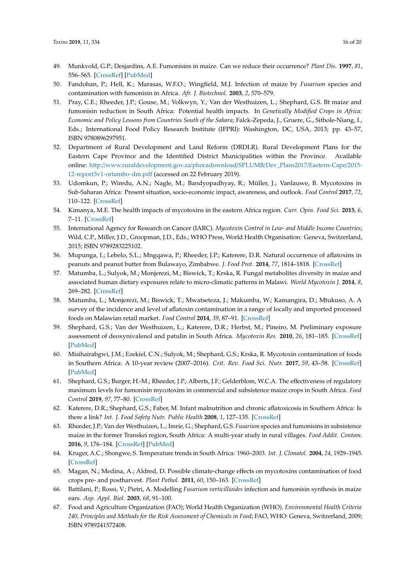- <span id="page-15-0"></span>49. Munkvold, G.P.; Desjardins, A.E. Fumonisins in maize. Can we reduce their occurrence? *Plant Dis.* **1997**, *81*, 556–565. [\[CrossRef\]](http://dx.doi.org/10.1094/PDIS.1997.81.6.556) [\[PubMed\]](http://www.ncbi.nlm.nih.gov/pubmed/30861834)
- <span id="page-15-1"></span>50. Fandohan, P.; Hell, K.; Marasas, W.F.O.; Wingfield, M.J. Infection of maize by *Fusarium* species and contamination with fumonisin in Africa. *Afr. J. Biotechnol.* **2003**, *2*, 570–579.
- <span id="page-15-2"></span>51. Pray, C.E.; Rheeder, J.P.; Gouse, M.; Volkwyn, Y.; Van der Westhuizen, L.; Shephard, G.S. Bt maize and fumonisin reduction in South Africa: Potential health impacts. In *Genetically Modified Crops in Africa: Economic and Policy Lessons from Countries South of the Sahara*; Falck-Zepeda, J., Gruere, G., Sithole-Niang, I., Eds.; International Food Policy Research Institute (IFPRI): Washington, DC, USA, 2013; pp. 43–57, ISBN 9780896297951.
- <span id="page-15-3"></span>52. Department of Rural Development and Land Reform (DRDLR). Rural Development Plans for the Eastern Cape Province and the Identified District Municipalities within the Province. Available online: http://[www.ruraldevelopment.gov.za](http://www.ruraldevelopment.gov.za/phocadownload/SPLUMB/Dev_Plans2017/Eastern-Cape/2015-12-report3v1-ortambo-dm.pdf)/phocadownload/SPLUMB/Dev\_Plans2017/Eastern-Cape/2015- [12-report3v1-ortambo-dm.pdf](http://www.ruraldevelopment.gov.za/phocadownload/SPLUMB/Dev_Plans2017/Eastern-Cape/2015-12-report3v1-ortambo-dm.pdf) (accessed on 22 February 2019).
- <span id="page-15-4"></span>53. Udomkun, P.; Wiredu, A.N.; Nagle, M.; Bandyopadhyay, R.; Müller, J.; Vanlauwe, B. Mycotoxins in Sub-Saharan Africa: Present situation, socio-economic impact, awareness, and outlook. *Food Control* **2017**, *72*, 110–122. [\[CrossRef\]](http://dx.doi.org/10.1016/j.foodcont.2016.07.039)
- <span id="page-15-5"></span>54. Kimanya, M.E. The health impacts of mycotoxins in the eastern Africa region. *Curr. Opin. Food Sci.* **2015**, *6*, 7–11. [\[CrossRef\]](http://dx.doi.org/10.1016/j.cofs.2015.11.005)
- <span id="page-15-6"></span>55. International Agency for Research on Cancer (IARC). *Mycotoxin Control in Low- and Middle Income Countries*; Wild, C.P., Miller, J.D., Groopman, J.D., Eds.; WHO Press, World Health Organisation: Geneva, Switzerland, 2015; ISBN 9789283225102.
- <span id="page-15-7"></span>56. Mupunga, I.; Lebelo, S.L.; Mngqawa, P.; Rheeder, J.P.; Katerere, D.R. Natural occurrence of aflatoxins in peanuts and peanut butter from Bulawayo, Zimbabwe. *J. Food Prot.* **2014**, *77*, 1814–1818. [\[CrossRef\]](http://dx.doi.org/10.4315/0362-028X.JFP-14-129)
- <span id="page-15-8"></span>57. Matumba, L.; Sulyok, M.; Monjerezi, M.; Biswick, T.; Krska, R. Fungal metabolites diversity in maize and associated human dietary exposures relate to micro-climatic patterns in Malawi. *World Mycotoxin J.* **2014**, *8*, 269–282. [\[CrossRef\]](http://dx.doi.org/10.3920/WMJ2014.1773)
- <span id="page-15-9"></span>58. Matumba, L.; Monjerezi, M.; Biswick, T.; Mwatseteza, J.; Makumba, W.; Kamangira, D.; Mtukuso, A. A survey of the incidence and level of aflatoxin contamination in a range of locally and imported processed foods on Malawian retail market. *Food Control* **2014**, *39*, 87–91. [\[CrossRef\]](http://dx.doi.org/10.1016/j.foodcont.2013.09.068)
- <span id="page-15-10"></span>59. Shephard, G.S.; Van der Westhuizen, L.; Katerere, D.R.; Herbst, M.; Pineiro, M. Preliminary exposure assessment of deoxynivalenol and patulin in South Africa. *Mycotoxin Res.* **2010**, *26*, 181–185. [\[CrossRef\]](http://dx.doi.org/10.1007/s12550-010-0052-9) [\[PubMed\]](http://www.ncbi.nlm.nih.gov/pubmed/23605382)
- <span id="page-15-11"></span>60. Misihairabgwi, J.M.; Ezekiel, C.N.; Sulyok, M.; Shephard, G.S.; Krska, R. Mycotoxin contamination of foods in Southern Africa: A 10-year review (2007–2016). *Crit. Rev. Food Sci. Nutr.* **2017**, *59*, 43–58. [\[CrossRef\]](http://dx.doi.org/10.1080/10408398.2017.1357003) [\[PubMed\]](http://www.ncbi.nlm.nih.gov/pubmed/28799776)
- <span id="page-15-12"></span>61. Shephard, G.S.; Burger, H.-M.; Rheeder, J.P.; Alberts, J.F.; Gelderblom, W.C.A. The effectiveness of regulatory maximum levels for fumonisin mycotoxins in commercial and subsistence maize crops in South Africa. *Food Control* **2019**, *97*, 77–80. [\[CrossRef\]](http://dx.doi.org/10.1016/j.foodcont.2018.10.004)
- <span id="page-15-13"></span>62. Katerere, D.R.; Shephard, G.S.; Faber, M. Infant malnutrition and chronic aflatoxicosis in Southern Africa: Is there a link? *Int. J. Food Safety Nutr. Public Health* **2008**, *1*, 127–135. [\[CrossRef\]](http://dx.doi.org/10.1504/IJFSNPH.2008.023013)
- <span id="page-15-14"></span>63. Rheeder, J.P.; Van der Westhuizen, L.; Imrie, G.; Shephard, G.S. *Fusarium* species and fumonisins in subsistence maize in the former Transkei region, South Africa: A multi-year study in rural villages. *Food Addit. Contam.* **2016**, *9*, 176–184. [\[CrossRef\]](http://dx.doi.org/10.1080/19393210.2016.1154612) [\[PubMed\]](http://www.ncbi.nlm.nih.gov/pubmed/26958826)
- <span id="page-15-15"></span>64. Kruger, A.C.; Shongwe, S. Temperature trends in South Africa: 1960–2003. *Int. J. Climatol.* **2004**, *24*, 1929–1945. [\[CrossRef\]](http://dx.doi.org/10.1002/joc.1096)
- <span id="page-15-16"></span>65. Magan, N.; Medina, A.; Aldred, D. Possible climate-change effects on mycotoxins contamination of food crops pre- and postharvest. *Plant Pathol.* **2011**, *60*, 150–163. [\[CrossRef\]](http://dx.doi.org/10.1111/j.1365-3059.2010.02412.x)
- <span id="page-15-17"></span>66. Battilani, P.; Rossi, V.; Pietri, A. Modelling *Fusarium verticillioides* infection and fumonisin synthesis in maize ears. *Asp. Appl. Biol.* **2003**, *68*, 91–100.
- <span id="page-15-18"></span>67. Food and Agriculture Organization (FAO); World Health Organization (WHO). *Environmental Health Criteria 240, Principles and Methods for the Risk Assessment of Chemicals in Food*; FAO, WHO: Geneva, Switzerland, 2009; ISBN 9789241572408.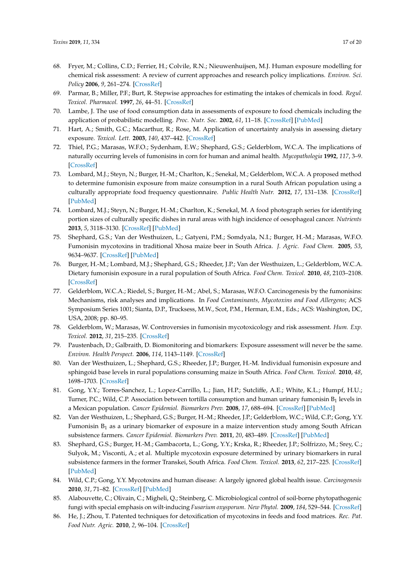- <span id="page-16-0"></span>68. Fryer, M.; Collins, C.D.; Ferrier, H.; Colvile, R.N.; Nieuwenhuijsen, M.J. Human exposure modelling for chemical risk assessment: A review of current approaches and research policy implications. *Environ. Sci. Policy* **2006**, *9*, 261–274. [\[CrossRef\]](http://dx.doi.org/10.1016/j.envsci.2005.11.011)
- 69. Parmar, B.; Miller, P.F.; Burt, R. Stepwise approaches for estimating the intakes of chemicals in food. *Regul. Toxicol. Pharmacol.* **1997**, *26*, 44–51. [\[CrossRef\]](http://dx.doi.org/10.1006/rtph.1997.1117)
- 70. Lambe, J. The use of food consumption data in assessments of exposure to food chemicals including the application of probabilistic modelling. *Proc. Nutr. Soc.* **2002**, *61*, 11–18. [\[CrossRef\]](http://dx.doi.org/10.1079/PNS2001125) [\[PubMed\]](http://www.ncbi.nlm.nih.gov/pubmed/12002785)
- <span id="page-16-1"></span>71. Hart, A.; Smith, G.C.; Macarthur, R.; Rose, M. Application of uncertainty analysis in assessing dietary exposure. *Toxicol. Lett.* **2003**, *140*, 437–442. [\[CrossRef\]](http://dx.doi.org/10.1016/S0378-4274(03)00040-7)
- <span id="page-16-2"></span>72. Thiel, P.G.; Marasas, W.F.O.; Sydenham, E.W.; Shephard, G.S.; Gelderblom, W.C.A. The implications of naturally occurring levels of fumonisins in corn for human and animal health. *Mycopathologia* **1992**, *117*, 3–9. [\[CrossRef\]](http://dx.doi.org/10.1007/BF00497272)
- <span id="page-16-3"></span>73. Lombard, M.J.; Steyn, N.; Burger, H.-M.; Charlton, K.; Senekal, M.; Gelderblom, W.C.A. A proposed method to determine fumonisin exposure from maize consumption in a rural South African population using a culturally appropriate food frequency questionnaire. *Public Health Nutr.* **2012**, *17*, 131–138. [\[CrossRef\]](http://dx.doi.org/10.1017/S1368980012004946) [\[PubMed\]](http://www.ncbi.nlm.nih.gov/pubmed/23199706)
- <span id="page-16-4"></span>74. Lombard, M.J.; Steyn, N.; Burger, H.-M.; Charlton, K.; Senekal, M. A food photograph series for identifying portion sizes of culturally specific dishes in rural areas with high incidence of oesophageal cancer. *Nutrients* **2013**, *5*, 3118–3130. [\[CrossRef\]](http://dx.doi.org/10.3390/nu5083118) [\[PubMed\]](http://www.ncbi.nlm.nih.gov/pubmed/23925043)
- <span id="page-16-5"></span>75. Shephard, G.S.; Van der Westhuizen, L.; Gatyeni, P.M.; Somdyala, N.I.; Burger, H.-M.; Marasas, W.F.O. Fumonisin mycotoxins in traditional Xhosa maize beer in South Africa. *J. Agric. Food Chem.* **2005**, *53*, 9634–9637. [\[CrossRef\]](http://dx.doi.org/10.1021/jf0516080) [\[PubMed\]](http://www.ncbi.nlm.nih.gov/pubmed/16302789)
- <span id="page-16-6"></span>76. Burger, H.-M.; Lombard, M.J.; Shephard, G.S.; Rheeder, J.P.; Van der Westhuizen, L.; Gelderblom, W.C.A. Dietary fumonisin exposure in a rural population of South Africa. *Food Chem. Toxicol.* **2010**, *48*, 2103–2108. [\[CrossRef\]](http://dx.doi.org/10.1016/j.fct.2010.05.011)
- <span id="page-16-7"></span>77. Gelderblom, W.C.A.; Riedel, S.; Burger, H.-M.; Abel, S.; Marasas, W.F.O. Carcinogenesis by the fumonisins: Mechanisms, risk analyses and implications. In *Food Contaminants, Mycotoxins and Food Allergens*; ACS Symposium Series 1001; Sianta, D.P., Trucksess, M.W., Scot, P.M., Herman, E.M., Eds.; ACS: Washington, DC, USA, 2008; pp. 80–95.
- <span id="page-16-8"></span>78. Gelderblom, W.; Marasas, W. Controversies in fumonisin mycotoxicology and risk assessment. *Hum. Exp. Toxicol.* **2012**, *31*, 215–235. [\[CrossRef\]](http://dx.doi.org/10.1177/0960327110395338)
- <span id="page-16-9"></span>79. Paustenbach, D.; Galbraith, D. Biomonitoring and biomarkers: Exposure assessment will never be the same. *Environ. Health Perspect.* **2006**, *114*, 1143–1149. [\[CrossRef\]](http://dx.doi.org/10.1289/ehp.8755)
- <span id="page-16-10"></span>80. Van der Westhuizen, L.; Shephard, G.S.; Rheeder, J.P.; Burger, H.-M. Individual fumonisin exposure and sphingoid base levels in rural populations consuming maize in South Africa. *Food Chem. Toxicol.* **2010**, *48*, 1698–1703. [\[CrossRef\]](http://dx.doi.org/10.1016/j.fct.2010.03.047)
- <span id="page-16-11"></span>81. Gong, Y.Y.; Torres-Sanchez, L.; Lopez-Carrillo, L.; Jian, H.P.; Sutcliffe, A.E.; White, K.L.; Humpf, H.U.; Turner, P.C.; Wild, C.P. Association between tortilla consumption and human urinary fumonisin  $\mathtt{B}_1$  levels in a Mexican population. *Cancer Epidemiol. Biomarkers Prev.* **2008**, *17*, 688–694. [\[CrossRef\]](http://dx.doi.org/10.1158/1055-9965.EPI-07-2534) [\[PubMed\]](http://www.ncbi.nlm.nih.gov/pubmed/18349288)
- <span id="page-16-12"></span>82. Van der Westhuizen, L.; Shephard, G.S.; Burger, H.-M.; Rheeder, J.P.; Gelderblom, W.C.; Wild, C.P.; Gong, Y.Y. Fumonisin  $B_1$  as a urinary biomarker of exposure in a maize intervention study among South African subsistence farmers. *Cancer Epidemiol. Biomarkers Prev.* **2011**, *20*, 483–489. [\[CrossRef\]](http://dx.doi.org/10.1158/1055-9965.EPI-10-1002) [\[PubMed\]](http://www.ncbi.nlm.nih.gov/pubmed/21266524)
- <span id="page-16-13"></span>83. Shephard, G.S.; Burger, H.-M.; Gambacorta, L.; Gong, Y.Y.; Krska, R.; Rheeder, J.P.; Solfrizzo, M.; Srey, C.; Sulyok, M.; Visconti, A.; et al. Multiple mycotoxin exposure determined by urinary biomarkers in rural subsistence farmers in the former Transkei, South Africa. *Food Chem. Toxicol.* **2013**, *62*, 217–225. [\[CrossRef\]](http://dx.doi.org/10.1016/j.fct.2013.08.040) [\[PubMed\]](http://www.ncbi.nlm.nih.gov/pubmed/23985452)
- <span id="page-16-14"></span>84. Wild, C.P.; Gong, Y.Y. Mycotoxins and human disease: A largely ignored global health issue. *Carcinogenesis* **2010**, *31*, 71–82. [\[CrossRef\]](http://dx.doi.org/10.1093/carcin/bgp264) [\[PubMed\]](http://www.ncbi.nlm.nih.gov/pubmed/19875698)
- <span id="page-16-15"></span>85. Alabouvette, C.; Olivain, C.; Migheli, Q.; Steinberg, C. Microbiological control of soil-borne phytopathogenic fungi with special emphasis on wilt-inducing *Fusarium oxysporum*. *New Phytol.* **2009**, *184*, 529–544. [\[CrossRef\]](http://dx.doi.org/10.1111/j.1469-8137.2009.03014.x)
- <span id="page-16-16"></span>86. He, J.; Zhou, T. Patented techniques for detoxification of mycotoxins in feeds and food matrices. *Rec. Pat. Food Nutr. Agric.* **2010**, *2*, 96–104. [\[CrossRef\]](http://dx.doi.org/10.2174/1876142911002020096)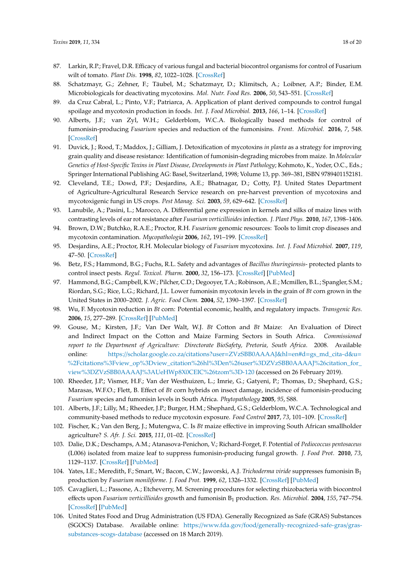- <span id="page-17-0"></span>87. Larkin, R.P.; Fravel, D.R. Efficacy of various fungal and bacterial biocontrol organisms for control of Fusarium wilt of tomato. *Plant Dis.* **1998**, *82*, 1022–1028. [\[CrossRef\]](http://dx.doi.org/10.1094/PDIS.1998.82.9.1022)
- 88. Schatzmayr, G.; Zehner, F.; Täubel, M.; Schatzmayr, D.; Klimitsch, A.; Loibner, A.P.; Binder, E.M. Microbiologicals for deactivating mycotoxins. *Mol. Nutr. Food Res.* **2006**, *50*, 543–551. [\[CrossRef\]](http://dx.doi.org/10.1002/mnfr.200500181)
- <span id="page-17-1"></span>89. da Cruz Cabral, L.; Pinto, V.F.; Patriarca, A. Application of plant derived compounds to control fungal spoilage and mycotoxin production in foods. *Int. J. Food Microbiol.* **2013**, *166*, 1–14. [\[CrossRef\]](http://dx.doi.org/10.1016/j.ijfoodmicro.2013.05.026)
- <span id="page-17-2"></span>90. Alberts, J.F.; van Zyl, W.H.; Gelderblom, W.C.A. Biologically based methods for control of fumonisin-producing *Fusarium* species and reduction of the fumonisins. *Front. Microbiol.* **2016**, *7*, 548. [\[CrossRef\]](http://dx.doi.org/10.3389/fmicb.2016.00548)
- <span id="page-17-3"></span>91. Duvick, J.; Rood, T.; Maddox, J.; Gilliam, J. Detoxification of mycotoxins *in planta* as a strategy for improving grain quality and disease resistance: Identification of fumonisin-degrading microbes from maize. In *Molecular Genetics of Host-Specific Toxins in Plant Disease, Developments in Plant Pathology*; Kohmoto, K., Yoder, O.C., Eds.; Springer International Publishing AG: Basel, Switzerland, 1998; Volume 13, pp. 369–381, ISBN 9789401152181.
- <span id="page-17-5"></span>92. Cleveland, T.E.; Dowd, P.F.; Desjardins, A.E.; Bhatnagar, D.; Cotty, P.J. United States Department of Agriculture-Agricultural Research Service research on pre-harvest prevention of mycotoxins and mycotoxigenic fungi in US crops. *Pest Manag. Sci.* **2003**, *59*, 629–642. [\[CrossRef\]](http://dx.doi.org/10.1002/ps.724)
- <span id="page-17-4"></span>93. Lanubile, A.; Pasini, L.; Marocco, A. Differential gene expression in kernels and silks of maize lines with contrasting levels of ear rot resistance after *Fusarium verticillioides* infection. *J. Plant Phys.* **2010**, *167*, 1398–1406.
- <span id="page-17-6"></span>94. Brown, D.W.; Butchko, R.A.E.; Proctor, R.H. *Fusarium* genomic resources: Tools to limit crop diseases and mycotoxin contamination. *Mycopathologia* **2006**, *162*, 191–199. [\[CrossRef\]](http://dx.doi.org/10.1007/s11046-006-0053-6)
- <span id="page-17-7"></span>95. Desjardins, A.E.; Proctor, R.H. Molecular biology of *Fusarium* mycotoxins. *Int. J. Food Microbiol.* **2007**, *119*, 47–50. [\[CrossRef\]](http://dx.doi.org/10.1016/j.ijfoodmicro.2007.07.024)
- <span id="page-17-8"></span>96. Betz, F.S.; Hammond, B.G.; Fuchs, R.L. Safety and advantages of *Bacillus thuringiensis*- protected plants to control insect pests. *Regul. Toxicol. Pharm.* **2000**, *32*, 156–173. [\[CrossRef\]](http://dx.doi.org/10.1006/rtph.2000.1426) [\[PubMed\]](http://www.ncbi.nlm.nih.gov/pubmed/11067772)
- <span id="page-17-9"></span>97. Hammond, B.G.; Campbell, K.W.; Pilcher, C.D.; Degooyer, T.A.; Robinson, A.E.; Mcmillen, B.L.; Spangler, S.M.; Riordan, S.G.; Rice, L.G.; Richard, J.L. Lower fumonisin mycotoxin levels in the grain of *Bt* corn grown in the United States in 2000–2002. *J. Agric. Food Chem.* **2004**, *52*, 1390–1397. [\[CrossRef\]](http://dx.doi.org/10.1021/jf030441c)
- <span id="page-17-10"></span>98. Wu, F. Mycotoxin reduction in *Bt* corn: Potential economic, health, and regulatory impacts. *Transgenic Res.* **2006**, *15*, 277–289. [\[CrossRef\]](http://dx.doi.org/10.1007/s11248-005-5237-1) [\[PubMed\]](http://www.ncbi.nlm.nih.gov/pubmed/16779644)
- <span id="page-17-11"></span>99. Gouse, M.; Kirsten, J.F.; Van Der Walt, W.J. *Bt* Cotton and *Bt* Maize: An Evaluation of Direct and Indirect Impact on the Cotton and Maize Farming Sectors in South Africa. *Commissioned report to the Department of Agriculture: Directorate BioSafety, Pretoria, South Africa*. 2008. Available online: https://scholar.google.co.za/citations?user=[ZVzSBB0AAAAJ&hl](https://scholar.google.co.za/citations?user=ZVzSBB0AAAAJ&hl=en#d=gs_md_cita-d&u=%2Fcitations%3Fview_op%3Dview_citation%26hl%3Den%26user%3DZVzSBB0AAAAJ%26citation_for_view%3DZVzSBB0AAAAJ%3AUeHWp8X0CEIC%26tzom%3D-120)=en#d=gs\_md\_cita-d&u= [%2Fcitations%3Fview\\_op%3Dview\\_citation%26hl%3Den%26user%3DZVzSBB0AAAAJ%26citation\\_for\\_](https://scholar.google.co.za/citations?user=ZVzSBB0AAAAJ&hl=en#d=gs_md_cita-d&u=%2Fcitations%3Fview_op%3Dview_citation%26hl%3Den%26user%3DZVzSBB0AAAAJ%26citation_for_view%3DZVzSBB0AAAAJ%3AUeHWp8X0CEIC%26tzom%3D-120) [view%3DZVzSBB0AAAAJ%3AUeHWp8X0CEIC%26tzom%3D-120](https://scholar.google.co.za/citations?user=ZVzSBB0AAAAJ&hl=en#d=gs_md_cita-d&u=%2Fcitations%3Fview_op%3Dview_citation%26hl%3Den%26user%3DZVzSBB0AAAAJ%26citation_for_view%3DZVzSBB0AAAAJ%3AUeHWp8X0CEIC%26tzom%3D-120) (accessed on 26 February 2019).
- <span id="page-17-12"></span>100. Rheeder, J.P.; Vismer, H.F.; Van der Westhuizen, L.; Imrie, G.; Gatyeni, P.; Thomas, D.; Shephard, G.S.; Marasas, W.F.O.; Flett, B. Effect of *Bt* corn hybrids on insect damage, incidence of fumonisin-producing *Fusarium* species and fumonisin levels in South Africa. *Phytopathology* **2005**, *95*, S88.
- <span id="page-17-13"></span>101. Alberts, J.F.; Lilly, M.; Rheeder, J.P.; Burger, H.M.; Shephard, G.S.; Gelderblom, W.C.A. Technological and community-based methods to reduce mycotoxin exposure. *Food Control* **2017**, *73*, 101–109. [\[CrossRef\]](http://dx.doi.org/10.1016/j.foodcont.2016.05.029)
- <span id="page-17-14"></span>102. Fischer, K.; Van den Berg, J.; Mutengwa, C. Is *Bt* maize effective in improving South African smallholder agriculture? *S. Afr. J. Sci.* **2015**, *111*, 01–02. [\[CrossRef\]](http://dx.doi.org/10.17159/sajs.2015/a0092)
- <span id="page-17-15"></span>103. Dalie, D.K.; Deschamps, A.M.; Atanasova-Penichon, V.; Richard-Forget, F. Potential of *Pediococcus pentosaceus* (L006) isolated from maize leaf to suppress fumonisin-producing fungal growth. *J. Food Prot.* **2010**, *73*, 1129–1137. [\[CrossRef\]](http://dx.doi.org/10.4315/0362-028X-73.6.1129) [\[PubMed\]](http://www.ncbi.nlm.nih.gov/pubmed/20537273)
- <span id="page-17-16"></span>104. Yates, I.E.; Meredith, F.; Smart, W.; Bacon, C.W.; Jaworski, A.J. *Trichoderma viride* suppresses fumonisin B<sup>1</sup> production by *Fusarium moniliforme*. *J. Food Prot.* **1999**, *62*, 1326–1332. [\[CrossRef\]](http://dx.doi.org/10.4315/0362-028X-62.11.1326) [\[PubMed\]](http://www.ncbi.nlm.nih.gov/pubmed/10571324)
- <span id="page-17-17"></span>105. Cavaglieri, L.; Passone, A.; Etcheverry, M. Screening procedures for selecting rhizobacteria with biocontrol effects upon *Fusarium verticillioides* growth and fumonisin B<sup>1</sup> production. *Res. Microbiol.* **2004**, *155*, 747–754. [\[CrossRef\]](http://dx.doi.org/10.1016/j.resmic.2004.06.001) [\[PubMed\]](http://www.ncbi.nlm.nih.gov/pubmed/15501652)
- <span id="page-17-18"></span>106. United States Food and Drug Administration (US FDA). Generally Recognized as Safe (GRAS) Substances (SGOCS) Database. Available online: https://www.fda.gov/food/[generally-recognized-safe-gras](https://www.fda.gov/food/generally-recognized-safe-gras/gras-substances-scogs-database)/gras[substances-scogs-database](https://www.fda.gov/food/generally-recognized-safe-gras/gras-substances-scogs-database) (accessed on 18 March 2019).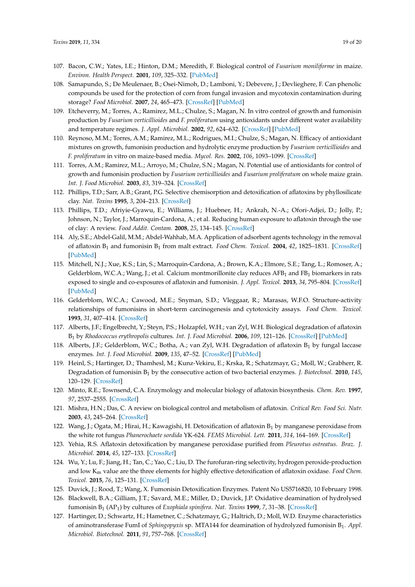- <span id="page-18-0"></span>107. Bacon, C.W.; Yates, I.E.; Hinton, D.M.; Meredith, F. Biological control of *Fusarium moniliforme* in maize. *Environ. Health Perspect.* **2001**, *109*, 325–332. [\[PubMed\]](http://www.ncbi.nlm.nih.gov/pubmed/11359703)
- <span id="page-18-1"></span>108. Samapundo, S.; De Meulenaer, B.; Osei-Nimoh, D.; Lamboni, Y.; Debevere, J.; Devlieghere, F. Can phenolic compounds be used for the protection of corn from fungal invasion and mycotoxin contamination during storage? *Food Microbiol.* **2007**, *24*, 465–473. [\[CrossRef\]](http://dx.doi.org/10.1016/j.fm.2006.10.003) [\[PubMed\]](http://www.ncbi.nlm.nih.gov/pubmed/17367679)
- <span id="page-18-2"></span>109. Etcheverry, M.; Torres, A.; Ramirez, M.L.; Chulze, S.; Magan, N. In vitro control of growth and fumonisin production by *Fusarium verticillioides* and *F. proliferatum* using antioxidants under different water availability and temperature regimes. *J. Appl. Microbiol.* **2002**, *92*, 624–632. [\[CrossRef\]](http://dx.doi.org/10.1046/j.1365-2672.2002.01566.x) [\[PubMed\]](http://www.ncbi.nlm.nih.gov/pubmed/11966902)
- <span id="page-18-3"></span>110. Reynoso, M.M.; Torres, A.M.; Ramirez, M.L.; Rodrigues, M.I.; Chulze, S.; Magan, N. Efficacy of antioxidant mixtures on growth, fumonisin production and hydrolytic enzyme production by *Fusarium verticillioides* and *F. proliferatum* in vitro on maize-based media. *Mycol. Res.* **2002**, *106*, 1093–1099. [\[CrossRef\]](http://dx.doi.org/10.1017/S0953756202006135)
- <span id="page-18-4"></span>111. Torres, A.M.; Ramirez, M.L.; Arroyo, M.; Chulze, S.N.; Magan, N. Potential use of antioxidants for control of growth and fumonisin production by *Fusarium verticillioides* and *Fusarium proliferatum* on whole maize grain. *Int. J. Food Microbiol.* **2003**, *83*, 319–324. [\[CrossRef\]](http://dx.doi.org/10.1016/S0168-1605(02)00380-X)
- <span id="page-18-5"></span>112. Phillips, T.D.; Sarr, A.B.; Grant, P.G. Selective chemisorption and detoxification of aflatoxins by phyllosilicate clay. *Nat. Toxins* **1995**, *3*, 204–213. [\[CrossRef\]](http://dx.doi.org/10.1002/nt.2620030407)
- 113. Phillips, T.D.; Afriyie-Gyawu, E.; Williams, J.; Huebner, H.; Ankrah, N.-A.; Ofori-Adjei, D.; Jolly, P.; Johnson, N.; Taylor, J.; Marroquin-Cardona, A.; et al. Reducing human exposure to aflatoxin through the use of clay: A review. *Food Addit. Contam.* **2008**, *25*, 134–145. [\[CrossRef\]](http://dx.doi.org/10.1080/02652030701567467)
- 114. Aly, S.E.; Abdel-Galil, M.M.; Abdel-Wahhab, M.A. Application of adsorbent agents technology in the removal of aflatoxin B<sup>1</sup> and fumonisin B<sup>1</sup> from malt extract. *Food Chem. Toxicol.* **2004**, *42*, 1825–1831. [\[CrossRef\]](http://dx.doi.org/10.1016/j.fct.2004.06.014) [\[PubMed\]](http://www.ncbi.nlm.nih.gov/pubmed/15350680)
- <span id="page-18-6"></span>115. Mitchell, N.J.; Xue, K.S.; Lin, S.; Marroquin-Cardona, A.; Brown, K.A.; Elmore, S.E.; Tang, L.; Romoser, A.; Gelderblom, W.C.A.; Wang, J.; et al. Calcium montmorillonite clay reduces  $AFB_1$  and  $FB_1$  biomarkers in rats exposed to single and co-exposures of aflatoxin and fumonisin. *J. Appl. Toxicol.* **2013**, *34*, 795–804. [\[CrossRef\]](http://dx.doi.org/10.1002/jat.2942) [\[PubMed\]](http://www.ncbi.nlm.nih.gov/pubmed/24193864)
- <span id="page-18-7"></span>116. Gelderblom, W.C.A.; Cawood, M.E.; Snyman, S.D.; Vleggaar, R.; Marasas, W.F.O. Structure-activity relationships of fumonisins in short-term carcinogenesis and cytotoxicity assays. *Food Chem. Toxicol.* **1993**, *31*, 407–414. [\[CrossRef\]](http://dx.doi.org/10.1016/0278-6915(93)90155-R)
- 117. Alberts, J.F.; Engelbrecht, Y.; Steyn, P.S.; Holzapfel, W.H.; van Zyl, W.H. Biological degradation of aflatoxin B<sup>1</sup> by *Rhodococcus erythropolis* cultures. *Int. J. Food Microbiol.* **2006**, *109*, 121–126. [\[CrossRef\]](http://dx.doi.org/10.1016/j.ijfoodmicro.2006.01.019) [\[PubMed\]](http://www.ncbi.nlm.nih.gov/pubmed/16504326)
- 118. Alberts, J.F.; Gelderblom, W.C.; Botha, A.; van Zyl, W.H. Degradation of aflatoxin  $B_1$  by fungal laccase enzymes. *Int. J. Food Microbiol.* **2009**, *135*, 47–52. [\[CrossRef\]](http://dx.doi.org/10.1016/j.ijfoodmicro.2009.07.022) [\[PubMed\]](http://www.ncbi.nlm.nih.gov/pubmed/19683355)
- 119. Heinl, S.; Hartinger, D.; Thamhesl, M.; Kunz-Vekiru, E.; Krska, R.; Schatzmayr, G.; Moll, W.; Grabherr, R. Degradation of fumonisin B<sup>1</sup> by the consecutive action of two bacterial enzymes. *J. Biotechnol.* **2010**, *145*, 120–129. [\[CrossRef\]](http://dx.doi.org/10.1016/j.jbiotec.2009.11.004)
- 120. Minto, R.E.; Townsend, C.A. Enzymology and molecular biology of aflatoxin biosynthesis. *Chem. Rev.* **1997**, *97*, 2537–2555. [\[CrossRef\]](http://dx.doi.org/10.1021/cr960032y)
- <span id="page-18-9"></span>121. Mishra, H.N.; Das, C. A review on biological control and metabolism of aflatoxin. *Critical Rev. Food Sci. Nutr.* **2003**, *43*, 245–264. [\[CrossRef\]](http://dx.doi.org/10.1080/10408690390826518)
- 122. Wang, J.; Ogata, M.; Hirai, H.; Kawagishi, H. Detoxification of aflatoxin  $B_1$  by manganese peroxidase from the white rot fungus *Phanerochaete sordida* YK-624. *FEMS Microbiol. Lett.* **2011**, *314*, 164–169. [\[CrossRef\]](http://dx.doi.org/10.1111/j.1574-6968.2010.02158.x)
- 123. Yehia, R.S. Aflatoxin detoxification by manganese peroxidase purified from *Pleurotus ostreatus*. *Braz. J. Microbiol.* **2014**, *45*, 127–133. [\[CrossRef\]](http://dx.doi.org/10.1590/S1517-83822014005000026)
- <span id="page-18-8"></span>124. Wu, Y.; Lu, F.; Jiang, H.; Tan, C.; Yao, C.; Liu, D. The furofuran-ring selectivity, hydrogen peroxide-production and low Km value are the three elements for highly effective detoxification of aflatoxin oxidase. *Food Chem. Toxicol.* **2015**, *76*, 125–131. [\[CrossRef\]](http://dx.doi.org/10.1016/j.fct.2014.12.004)
- <span id="page-18-10"></span>125. Duvick, J.; Rood, T.; Wang, X. Fumonisin Detoxification Enzymes. Patent No US5716820, 10 February 1998.
- 126. Blackwell, B.A.; Gilliam, J.T.; Savard, M.E.; Miller, D.; Duvick, J.P. Oxidative deamination of hydrolysed fumonisin B<sup>1</sup> (AP<sup>1</sup> ) by cultures of *Exophiala spinifera*. *Nat. Toxins* **1999**, *7*, 31–38. [\[CrossRef\]](http://dx.doi.org/10.1002/(SICI)1522-7189(199902)7:1<31::AID-NT36>3.0.CO;2-W)
- 127. Hartinger, D.; Schwartz, H.; Hametner, C.; Schatzmayr, G.; Haltrich, D.; Moll, W.D. Enzyme characteristics of aminotransferase FumI of *Sphingopyxis* sp. MTA144 for deamination of hydrolyzed fumonisin B<sup>1</sup> . *Appl. Microbiol. Biotechnol.* **2011**, *91*, 757–768. [\[CrossRef\]](http://dx.doi.org/10.1007/s00253-011-3248-9)